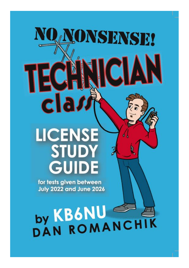# **ONSENSE!**  $c$ la **LICENSE**

# **STUDY** GUIDE

for tests given between **July 2022 and June 2026** 

**by KB6NU SHE**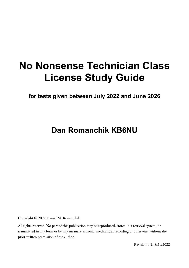## **No Nonsense Technician Class License Study Guide**

**for tests given between July 2022 and June 2026**

### **Dan Romanchik KB6NU**

Copyright © 2022 Daniel M. Romanchik

All rights reserved. No part of this publication may be reproduced, stored in a retrieval system, or transmitted in any form or by any means, electronic, mechanical, recording or otherwise, without the prior written permission of the author.

Revision 0.1, 5/31/2022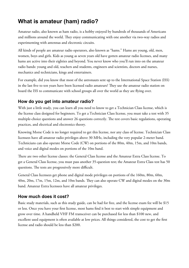#### **What is amateur (ham) radio?**

Amateur radio, also known as ham radio, is a hobby enjoyed by hundreds of thousands of Americans and millions around the world. They enjoy communicating with one another via two-way radios and experimenting with antennas and electronic circuits.

All kinds of people are amateur radio operators, also known as "hams." Hams are young, old, men, women, boys and girls. Kids as young as seven years old have gotten amateur radio licenses, and many hams are active into their eighties and beyond. You never know who you'll run into on the amateur radio bands: young and old, teachers and students, engineers and scientists, doctors and nurses, mechanics and technicians, kings and entertainers.

For example, did you know that most of the astronauts sent up to the International Space Station (ISS) in the last five to ten years have been licensed radio amateurs? They use the amateur radio station on board the ISS to communicate with school groups all over the world as they are flying over.

#### **How do you get into amateur radio?**

With just a little study, you can learn all you need to know to get a Technician Class license, which is the license class designed for beginners. To get a Technician Class license, you must take a test with 35 multiple-choice questions and answer 26 questions correctly. The test covers basic regulations, operating practices, and electrical and electronics theory.

Knowing Morse Code is no longer required to get this license, nor any class of license. Technician Class licensees have all amateur radio privileges above 30 MHz, including the very popular 2-meter band. Technicians can also operate Morse Code (CW) on portions of the 80m, 40m, 15m, and 10m bands, and voice and digital modes on portions of the 10m band.

There are two other license classes: the General Class license and the Amateur Extra Class license. To get a General Class license, you must pass another 35-question test; the Amateur Extra Class test has 50 questions. The tests are progressively more difficult.

General Class licensees get phone and digital mode privileges on portions of the 160m, 80m, 60m, 40m, 20m, 17m, 15m, 12m, and 10m bands. They can also operate CW and digital modes on the 30m band. Amateur Extra licensees have all amateur privileges.

#### **How much does it cost?**

Basic study materials, such as this study guide, can be had for free, and the license exam fee will be \$15 or less. Once you have your first license, most hams find it best to start with simple equipment and grow over time. A handheld VHF FM transceiver can be purchased for less than \$100 new, and excellent used equipment is often available at low prices. All things considered, the cost to get the first license and radio should be less than \$200.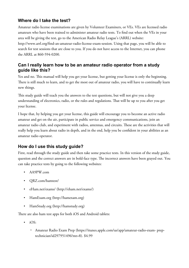#### **Where do I take the test?**

Amateur radio license examinations are given by Volunteer Examiners, or VEs. VEs are licensed radio amateurs who have been trained to administer amateur radio tests. To find out when the VEs in your area will be giving the test, go to the American Radio Relay League's (ARRL) website:

http://www.arrl.org/find-an-amateur-radio-license-exam-session. Using that page, you will be able to search for test sessions that are close to you. If you do not have access to the Internet, you can phone the ARRL at 860-594-0200.

#### **Can I really learn how to be an amateur radio operator from a study guide like this?**

Yes and no. This manual will help you get your license, but getting your license is only the beginning. There is still much to learn, and to get the most out of amateur radio, you will have to continually learn new things.

This study guide will teach you the answers to the test questions, but will not give you a deep understanding of electronics, radio, or the rules and regulations. That will be up to you after you get your license.

I hope that, by helping you get your license, this guide will encourage you to become an active radio amateur and get on the air, participate in public service and emergency communications, join an amateur radio club, and experiment with radios, antennas, and circuits. These are the activities that will really help you learn about radio in depth, and in the end, help you be confident in your abilities as an amateur radio operator.

#### **How do I use this study guide?**

First, read through the study guide and then take some practice tests. In this version of the study guide, question and the correct answers are in bold-face type. The incorrect answers have been grayed out. You can take practice tests by going to the following websites:

- AA9PW.com
- QRZ.com/hamtest/
- eHam.net/exams/ (http://eham.net/exams/)
- HamExam.org (http://hamexam.org)
- HamStudy.org (http://hamstudy.org)

There are also ham test apps for both iOS and Android tablets:

- $\cdot$  iOS:
	- Amateur Radio Exam Prep (https://itunes.apple.com/us/app/amateur-radio-exam- preptechnician/id297951496?mt=8). \$4.99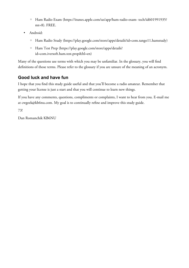- Ham Radio Exam (https://itunes.apple.com/us/app/ham-radio-exam- tech/id601991935? mt=8). FREE.
- Android:
	- Ham Radio Study (https://play.google.com/store/apps/details?id=com.tango11.hamstudy)
	- Ham Test Prep (https://play.google.com/store/apps/details? id=com.iversoft.ham.test.prep&hl=en)

Many of the questions use terms with which you may be unfamiliar. In the glossary, you will find definitions of those terms. Please refer to the glossary if you are unsure of the meaning of an acronym.

#### **Good luck and have fun**

I hope that you find this study guide useful and that you'll become a radio amateur. Remember that getting your license is just a start and that you will continue to learn new things.

If you have any comments, questions, compliments or complaints, I want to hear from you. E-mail me at cwgeek@kb6nu.com. My goal is to continually refine and improve this study guide.

73!

Dan Romanchik KB6NU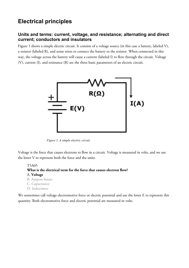#### **Electrical principles**

#### **Units and terms: current, voltage, and resistance; alternating and direct current; conductors and insulators**

Figure 1 shows a simple electric circuit. It consists of a voltage source (in this case a battery, labeled V), a resistor (labeled R), and some wires to connect the battery to the resistor. When connected in this way, the voltage across the battery will cause a current (labeled I) to flow through the circuit. Voltage (V), current (I), and resistance (R) are the three basic parameters of an electric circuit.



*Figure 1. A simple electric circuit.*

Voltage is the force that causes electrons to flow in a circuit. Voltage is measured in volts, and we use the letter V to represent both the force and the units.

T5A05 **What is the electrical term for the force that causes electron flow?** A. **Voltage** B. Ampere-hours C. Capacitance

D. Inductance

We sometimes call voltage electromotive force or electric potential and use the letter E to represent this quantity. Both electromotive force and electric potential are measured in volts.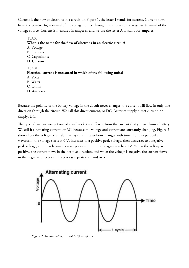Current is the flow of electrons in a circuit. In Figure 1, the letter I stands for current. Current flows from the positive (+) terminal of the voltage source through the circuit to the negative terminal of the voltage source. Current is measured in amperes, and we use the letter A to stand for amperes.

T5A03 **What is the name for the flow of electrons in an electric circuit?** A. Voltage B. Resistance C. Capacitance D. **Current** T5A01 **Electrical current is measured in which of the following units?** A. Volts B. Watts C. Ohms D. **Amperes**

Because the polarity of the battery voltage in the circuit never changes, the current will flow in only one direction through the circuit. We call this direct current, or DC. Batteries supply direct current, or simply, DC.

The type of current you get out of a wall socket is different from the current that you get from a battery. We call it alternating current, or AC, because the voltage and current are constantly changing. Figure 2 shows how the voltage of an alternating current waveform changes with time. For this particular waveform, the voltage starts at 0 V, increases to a positive peak voltage, then decreases to a negative peak voltage, and then begins increasing again, until it once again reaches 0 V. When the voltage is positive, the current flows in the positive direction, and when the voltage is negative the current flows in the negative direction. This process repeats over and over.



*Figure 2. An alternating current (AC) waveform.*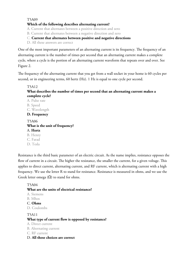#### T5A09 **Which of the following describes alternating current?**

A. Current that alternates between a positive direction and zero

B. Current that alternates between a negative direction and zero

C. **Current that alternates between positive and negative directions**

D. All these answers are correct

C. Farad D. Tesla

One of the most important parameters of an alternating current is its frequency. The frequency of an alternating current is the number of times per second that an alternating current makes a complete cycle, where a cycle is the portion of an alternating current waveform that repeats over and over. See Figure 2.

The frequency of the alternating current that you get from a wall socket in your home is 60 cycles per second, or in engineering terms, 60 hertz (Hz). 1 Hz is equal to one cycle per second.

#### T5A12 **What describes the number of times per second that an alternating current makes a complete cycle?** A. Pulse rate B. Speed C. Wavelength **D. Frequency** T5A06 **What is the unit of frequency?** A. **Hertz** B. Henry

Resistance is the third basic parameter of an electric circuit. As the name implies, resistance opposes the flow of current in a circuit. The higher the resistance, the smaller the current, for a given voltage. This applies to direct current, alternating current, and RF current, which is alternating current with a high frequency. We use the letter R to stand for resistance. Resistance is measured in ohms, and we use the Greek letter omega  $(\Omega)$  to stand for ohms.

T5A04 **What are the units of electrical resistance?** A. Siemens B. Mhos C. **Ohms** D. Coulombs T5A11 **What type of current flow is opposed by resistance?** A. Direct current B. Alternating current C. RF current D. **All these choices are correct**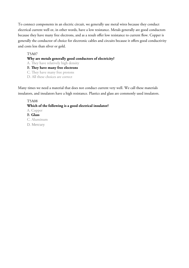To connect components in an electric circuit, we generally use metal wires because they conduct electrical current well or, in other words, have a low resistance. Metals generally are good conductors because they have many free electrons, and as a result offer low resistance to current flow. Copper is generally the conductor of choice for electronic cables and circuits because it offers good conductivity and costs less than silver or gold.

#### T5A07

**Why are metals generally good conductors of electricity?**

A. They have relatively high density

B. **They have many free electrons**

C. They have many free protons

D. All these choices are correct

Many times we need a material that does not conduct current very well. We call these materials insulators, and insulators have a high resistance. Plastics and glass are commonly used insulators.

T5A08 **Which of the following is a good electrical insulator?** A. Copper B. **Glass** C. Aluminum D. Mercury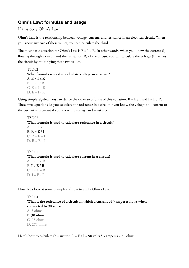#### **Ohm's Law: formulas and usage**

Hams obey Ohm's Law!

Ohm's Law is the relationship between voltage, current, and resistance in an electrical circuit. When you know any two of these values, you can calculate the third.

The most basic equation for Ohm's Law is  $E = I \times R$ . In other words, when you know the current (I) flowing through a circuit and the resistance (R) of the circuit, you can calculate the voltage (E) across the circuit by multiplying these two values.

T5D02 **What formula is used to calculate voltage in a circuit?**  $A. E = I \times R$  $B. E = I / R$  $C. E = I + R$  $D. E = I - R$ 

Using simple algebra, you can derive the other two forms of this equation:  $R = E / I$  and  $I = E / R$ . These two equations let you calculate the resistance in a circuit if you know the voltage and current or the current in a circuit if you know the voltage and resistance.

T5D03 **What formula is used to calculate resistance in a circuit?** A.  $R = E \times I$  $B. R = E/I$  $C. R = E + I$  $D. R = E - I$ 

T5D01 **What formula is used to calculate current in a circuit?** A.  $I = E \times R$  $B. I = E / R$  $C. I = E + R$  $D. I = E - R$ 

Now, let's look at some examples of how to apply Ohm's Law.

#### T5D04

**What is the resistance of a circuit in which a current of 3 amperes flows when connected to 90 volts?**

#### A. 3 ohms

B. **30 ohms**

C. 93 ohms D. 270 ohms

Here's how to calculate this answer:  $R = E / I = 90$  volts  $\ell$  3 amperes = 30 ohms.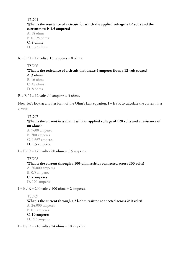#### T5D05

#### **What is the resistance of a circuit for which the applied voltage is 12 volts and the current flow is 1.5 amperes?**

A. 18 ohms B. 0.125 ohms

#### C. **8 ohms**

D. 13.5 ohms

 $R = E / I = 12$  volts  $/ 1.5$  amperes = 8 ohms.

#### T5D06

#### **What is the resistance of a circuit that draws 4 amperes from a 12-volt source?** A. **3 ohms**

B. 16 ohms

C. 48 ohms

D. 8 ohms

 $R = E / I = 12$  volts / 4 amperes = 3 ohms.

Now, let's look at another form of the Ohm's Law equation, I = E / R to calculate the current in a circuit.

#### T5D07

#### **What is the current in a circuit with an applied voltage of 120 volts and a resistance of 80 ohms?**

A. 9600 amperes B. 200 amperes C. 0.667 amperes

#### D. **1.5 amperes**

 $I = E / R = 120$  volts  $/ 80$  ohms = 1.5 amperes.

#### T5D08

#### **What is the current through a 100-ohm resistor connected across 200 volts?**

- A. 20,000 amperes
- B. 0.5 amperes
- C. **2 amperes**
- D. 100 amperes

 $I = E / R = 200$  volts  $/ 100$  ohms = 2 amperes.

#### T5D09

#### **What is the current through a 24-ohm resistor connected across 240 volts?**

- A. 24,000 amperes
- B. 0.1 amperes

#### C. **10 amperes**

- D. 216 amperes
- $I = E / R = 240$  volts  $/ 24$  ohms = 10 amperes.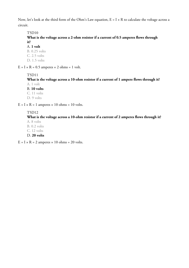Now, let's look at the third form of the Ohm's Law equation,  $E = I \times R$  to calculate the voltage across a circuit.

#### T5D10

**What is the voltage across a 2-ohm resistor if a current of 0.5 amperes flows through it?**

A. **1 volt**

B. 0.25 volts C. 2.5 volts D. 1.5 volts

 $E = I \times R = 0.5$  amperes  $\times$  2 ohms = 1 volt.

#### T5D11

**What is the voltage across a 10-ohm resistor if a current of 1 ampere flows through it?** A. 1 volt

B. **10 volts**

C. 11 volts

D. 9 volts

 $E = I \times R = 1$  amperes  $\times$  10 ohms = 10 volts.

#### T5D12

**What is the voltage across a 10-ohm resistor if a current of 2 amperes flows through it?**

- A. 8 volts
- B. 0.2 volts
- C. 12 volts
- D. **20 volts**

 $E = I \times R = 2$  amperes  $\times$  10 ohms = 20 volts.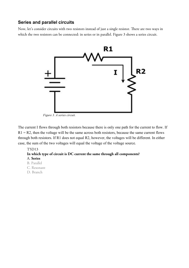#### **Series and parallel circuits**

Now, let's consider circuits with two resistors instead of just a single resistor. There are two ways in which the two resistors can be connected: in series or in parallel. Figure 3 shows a series circuit.



*Figure 3. A series circuit.*

The current I flows through both resistors because there is only one path for the current to flow. If  $R1 = R2$ , then the voltage will be the same across both resistors, because the same current flows through both resistors. If R1 does not equal R2, however, the voltages will be different. In either case, the sum of the two voltages will equal the voltage of the voltage source.

#### T5D13

#### **In which type of circuit is DC current the same through all components?**

- A. **Series**
- B. Parallel
- C. Resonant
- D. Branch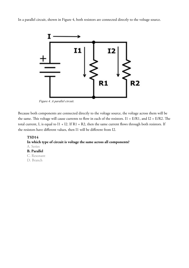In a parallel circuit, shown in Figure 4, both resistors are connected directly to the voltage source.



*Figure 4. A parallel circuit.*

Because both components are connected directly to the voltage source, the voltage across them will be the same. This voltage will cause currents to flow in each of the resistors. I1 = E/R1, and I2 = E/R2. The total current, I, is equal to  $I1 + I2$ . If  $R1 = R2$ , then the same current flows through both resistors. If the resistors have different values, then I1 will be different from I2.

#### **T5D14 In which type of circuit is voltage the same across all components?** A. Series **B. Parallel** C. Resonant

D. Branch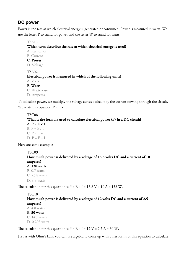#### **DC power**

Power is the rate at which electrical energy is generated or consumed. Power is measured in watts. We use the letter P to stand for power and the letter W to stand for watts.

#### T5A10

#### **Which term describes the rate at which electrical energy is used?**

- A. Resistance
- B. Current
- C. **Power**

D. Voltage

#### T5A02

#### **Electrical power is measured in which of the following units?**

- A. Volts
- B. **Watts**
- C. Watt-hours
- D. Amperes

To calculate power, we multiply the voltage across a circuit by the current flowing through the circuit. We write this equation  $P = E \times I$ .

#### T5C08 **What is the formula used to calculate electrical power (P) in a DC circuit?**  $A$ .  $P = E \times I$  $B. P = E/I$  $C. P = E - I$  $D. P = E + I$

Here are some examples:

#### T5C09

#### **How much power is delivered by a voltage of 13.8 volts DC and a current of 10 amperes?** A. **138 watts** B. 0.7 watts

- C. 23.8 watts
- D. 3.8 watts

The calculation for this question is  $P = E \times I = 13.8$  V  $\times$  10 A = 138 W.

#### T5C10

#### **How much power is delivered by a voltage of 12 volts DC and a current of 2.5 amperes?**

A. 4.8 watts B. **30 watts** C. 14.5 watts D. 0.208 watts

The calculation for this question is  $P = E \times I = 12$  V  $\times$  2.5 A = 30 W.

Just as with Ohm's Law, you can use algebra to come up with other forms of this equation to calculate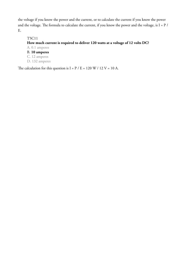the voltage if you know the power and the current, or to calculate the current if you know the power and the voltage. The formula to calculate the current, if you know the power and the voltage, is I = P / E.

#### T5C11

#### **How much current is required to deliver 120 watts at a voltage of 12 volts DC?**

- A. 0.1 amperes
- B. **10 amperes**
- C. 12 amperes D. 132 amperes

The calculation for this question is  $I = P / E = 120 W / 12 V = 10 A$ .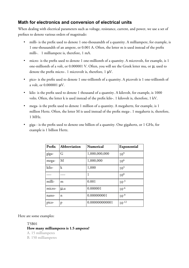#### **Math for electronics and conversion of electrical units**

When dealing with electrical parameters such as voltage, resistance, current, and power, we use a set of prefixes to denote various orders of magnitude:

- milli- is the prefix used to denote 1 one-thousandth of a quantity. A milliampere, for example, is 1 one-thousandth of an ampere, or 0.001 A. Often, the letter m is used instead of the prefix milli-. 1 milliampere is, therefore, 1 mA.
- micro- is the prefix used to denote 1 one-millionth of a quantity. A microvolt, for example, is 1 one-millionth of a volt, or 0.000001 V. Often, you will see the Greek letter mu, or μ, used to denote the prefix micro-. 1 microvolt is, therefore,  $1 \mu V$ .
- pico- is the prefix used to denote 1 one-trillionth of a quantity. A picovolt is 1 one-trillionth of a volt, or  $0.000001$   $\mu$ V.
- kilo- is the prefix used to denote 1 thousand of a quantity. A kilovolt, for example, is 1000 volts. Often, the letter k is used instead of the prefix kilo-. 1 kilovolt is, therefore, 1 kV.
- mega- is the prefix used to denote 1 million of a quantity. A megahertz, for example, is 1 million Hertz. Often, the letter M is used instead of the prefix mega-. 1 megahertz is, therefore, 1 MHz.
- giga is the prefix used to denote one billion of a quantity. One gigahertz, or 1 GHz, for example is 1 billion Hertz.

| Prefix | Abbreviation | <b>Numerical</b> | Exponential     |
|--------|--------------|------------------|-----------------|
| giga-  | G            | 1,000,000,000    | 10 <sup>9</sup> |
| mega-  | M            | 1,000,000        | $10^{6}$        |
| kilo-  | $\mathbf{k}$ | 1,000            | 10 <sup>3</sup> |
|        |              | 1                | 10 <sup>0</sup> |
| milli- | m            | 0.001            | $10^{-3}$       |
| micro- | $\mu,$ u     | 0.000001         | $10^{-6}$       |
| nano-  | n            | 0.000000001      | $10^{-9}$       |
| pico-  | p            | 0.000000000001   | $10^{-12}$      |

Here are some examples:

T5B01 **How many milliamperes is 1.5 amperes?** A. 15 milliamperes B. 150 milliamperes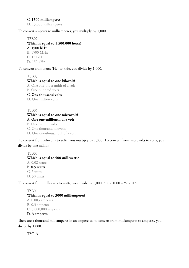#### C. **1500 milliamperes**

D. 15,000 milliamperes

To convert amperes to milliamperes, you multiply by 1,000.

#### T5B02 **Which is equal to 1,500,000 hertz?** A. **1500 kHz** B. 1500 MHz C. 15 GHz D. 150 kHz

To convert from hertz (Hz) to kHz, you divide by 1,000.

#### T5B03 **Which is equal to one kilovolt?**

A. One one-thousandth of a volt

B. One hundred volts

C. **One thousand volts**

D. One million volts

#### T5B04 **Which is equal to one microvolt?** A. **One one-millionth of a volt** B. One million volts

C. One thousand kilovolts

D. One one-thousandth of a volt

To convert from kilovolts to volts, you multiply by 1,000. To convert from microvolts to volts, you divide by one million.

T5B05 **Which is equal to 500 milliwatts?** A. 0.02 watts B. **0.5 watts** C. 5 watts D. 50 watts

To convert from milliwatts to watts, you divide by  $1,000$ . 500 / 1000 =  $\frac{1}{2}$  or 0.5.

#### T5B06 **Which is equal to 3000 milliamperes?** A. 0.003 amperes B. 0.3 amperes C. 3,000,000 amperes D. **3 amperes**

There are a thousand milliamperes in an ampere, so to convert from milliamperes to amperes, you divide by 1,000.

T5C13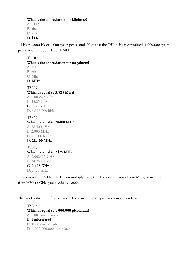#### **What is the abbreviation for kilohertz?**

A. KHZ B. khz C. khZ D. **kHz**

1 kHz is 1,000 Hz or 1,000 cycles per second. Note that the "H" in Hz is capitalized. 1,000,000 cycles per second is 1,000 kHz, or 1 MHz.

#### T5C07 **What is the abbreviation for megahertz?** A. MH B. mh C. Mhz D. **MHz** T5B07 **Which is equal to 3.525 MHz?** A. 0.003525 kHz B. 35.25 kHz C. **3525 kHz** D. 3,525,000 kHz T5B12 **Which is equal to 28400 kHz?**

A. 28.400 kHz B. 2.800 MHz C. 284.00 MHz D. **28.400 MHz**

T5B13 **Which is equal to 2425 MHz?** A. 0.002425 GHz B. 24.25 GHz C. **2.425 GHz** D. 2425 GHz

To convert from MHz to kHz, you multiply by 1,000. To convert from kHz to MHz, or to convert from MHz to GHz, you divide by 1,000.

The farad is the unit of capacitance. There are 1 million picofarads in a microfarad.

T5B08 **Which is equal to 1,000,000 picofarads?** A. 0.001 microfarads B. **1 microfarad** C. 1000 microfarads D. 1,000,000,000 microfarad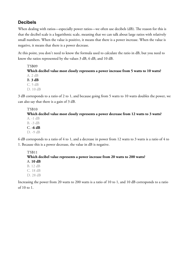#### **Decibels**

When dealing with ratios—especially power ratios—we often use decibels (dB). The reason for this is that the decibel scale is a logarithmic scale, meaning that we can talk about large ratios with relatively small numbers. When the value is positive, it means that there is a power increase. When the value is negative, it means that there is a power decrease.

At this point, you don't need to know the formula used to calculate the ratio in dB, but you need to know the ratios represented by the values 3 dB, 6 dB, and 10 dB.

T5B09 **Which decibel value most closely represents a power increase from 5 watts to 10 watts?** A. 2 dB B. **3 dB** C. 5 dB D. 10 dB

3 dB corresponds to a ratio of 2 to 1, and because going from 5 watts to 10 watts doubles the power, we can also say that there is a gain of 3 dB.

T5B10 Which decibel value most closely represents a power decrease from 12 watts to 3 watts? A. -1 dB B. -3 dB C. **-6 dB** D. -9 dB

6 dB corresponds to a ratio of 4 to 1, and a decrease in power from 12 watts to 3 watts is a ratio of 4 to 1. Because this is a power decrease, the value in dB is negative.

T5B11 **Which decibel value represents a power increase from 20 watts to 200 watts?** A. **10 dB** B. 12 dB C. 18 dB D. 28 dB

Increasing the power from 20 watts to 200 watts is a ratio of 10 to 1, and 10 dB corresponds to a ratio of 10 to 1.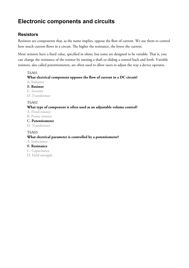#### **Electronic components and circuits**

#### **Resistors**

Resistors are components that, as the name implies, oppose the flow of current. We use them to control how much current flows in a circuit. The higher the resistance, the lower the current.

Most resistors have a fixed value, specified in ohms, but some are designed to be variable. That is, you can change the resistance of the resistor by turning a shaft or sliding a control back and forth. Variable resistors, also called potentiometers, are often used to allow users to adjust the way a device operates.

#### T6A01

**What electrical component opposes the flow of current in a DC circuit?**

- A. Inductor
- B. **Resistor** C. Inverter D. Transformer

#### T6A02

#### **What type of component is often used as an adjustable volume control?**

- A. Fixed resistor
- B. Power resistor

#### C. **Potentiometer**

D. Transformer

#### T6A03

#### **What electrical parameter is controlled by a potentiometer?**

A. Inductance

#### B. **Resistance**

- C. Capacitance
- D. Field strength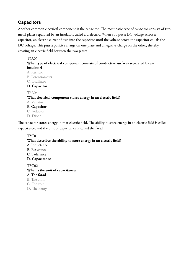#### **Capacitors**

Another common electrical component is the capacitor. The most basic type of capacitor consists of two metal plates separated by an insulator, called a dielectric. When you put a DC voltage across a capacitor, an electric current flows into the capacitor until the voltage across the capacitor equals the DC voltage. This puts a positive charge on one plate and a negative charge on the other, thereby creating an electric field between the two plates.

#### T6A05

#### **What type of electrical component consists of conductive surfaces separated by an insulator?**

A. Resistor B. Potentiometer C. Oscillator D. **Capacitor** T6A04 **What electrical component stores energy in an electric field?** A. Varistor B. **Capacitor** C. Inductor D. Diode

The capacitor stores energy in that electric field. The ability to store energy in an electric field is called capacitance, and the unit of capacitance is called the farad.

#### T5C01 **What describes the ability to store energy in an electric field?** A. Inductance B. Resistance C. Tolerance D. **Capacitance** T5C02 **What is the unit of capacitance?** A. **The farad** B. The ohm C. The volt D. The henry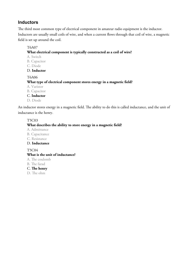#### **Inductors**

The third most common type of electrical component in amateur radio equipment is the inductor. Inductors are usually small coils of wire, and when a current flows through that coil of wire, a magnetic field is set up around the coil.

#### T6A07

#### **What electrical component is typically constructed as a coil of wire?**

A. Switch B. Capacitor C. Diode

#### D. **Inductor**

T6A06

#### **What type of electrical component stores energy in a magnetic field?**

- A. Varistor
- B. Capacitor
- C. **Inductor**
- D. Diode

An inductor stores energy in a magnetic field. The ability to do this is called inductance, and the unit of inductance is the henry.

#### T5C03

#### **What describes the ability to store energy in a magnetic field?**

- A. Admittance
- B. Capacitance
- C. Resistance
- D. **Inductance**
- T5C04

#### **What is the unit of inductance?**

- A. The coulomb
- B. The farad

#### C. **The henry**

D. The ohm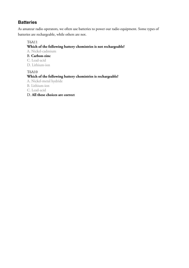#### **Batteries**

As amateur radio operators, we often use batteries to power our radio equipment. Some types of batteries are rechargeable, while others are not.

#### T6A11

#### **Which of the following battery chemistries is not rechargeable?**

A. Nickel-cadmium

B. **Carbon-zinc**

C. Lead-acid

D. Lithium-ion

#### T6A10

#### **Which of the following battery chemistries is rechargeable?**

A. Nickel-metal hydride

B. Lithium-ion

C. Lead-acid

D. **All these choices are correct**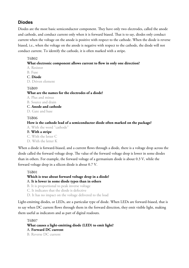#### **Diodes**

Diodes are the most basic semiconductor component. They have only two electrodes, called the anode and cathode, and conduct current only when it is forward biased. That is to say, diodes only conduct current when the voltage on the anode is positive with respect to the cathode. When the diode is reverse biased, i.e., when the voltage on the anode is negative with respect to the cathode, the diode will not conduct current. To identify the cathode, it is often marked with a stripe.

#### T6B02

#### **What electronic component allows current to flow in only one direction?**

- A. Resistor B. Fuse
- C. **Diode**

D. Driven element

#### T6B09

#### **What are the names for the electrodes of a diode?**

A. Plus and minus B. Source and drain

C. **Anode and cathode**

D. Gate and base

#### T6B06

#### **How is the cathode lead of a semiconductor diode often marked on the package?**

A. With the word "cathode"

B. **With a stripe**

C. With the letter C D. With the letter K

When a diode is forward-biased, and a current flows through a diode, there is a voltage drop across the diode called the forward voltage drop. The value of the forward voltage drop is lower in some diodes than in others. For example, the forward voltage of a germanium diode is about 0.3 V, while the forward voltage drop in a silicon diode is about 0.7 V.

T6B01

#### **Which is true about forward voltage drop in a diode?** A. **It is lower in some diode types than in others**

B. It is proportional to peak inverse voltage

C. It indicates that the diode is defective

D. It has no impact on the voltage delivered to the load

Light-emitting diodes, or LEDs, are a particular type of diode. When LEDs are forward-biased, that is to say when DC current flows through them in the forward direction, they emit visible light, making them useful as indicators and as part of digital readouts.

T6B07 **What causes a light-emitting diode (LED) to emit light?** A. **Forward DC current** B. Reverse DC current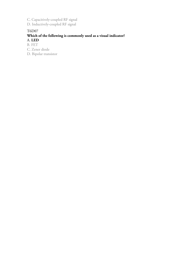C. Capacitively-coupled RF signal

D. Inductively-coupled RF signal

#### T6D07 **Which of the following is commonly used as a visual indicator?** A. **LED**

B. FET

C. Zener diode

D. Bipolar transistor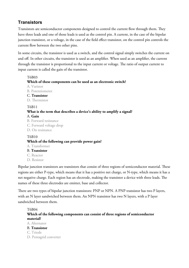#### **Transistors**

Transistors are semiconductor components designed to control the current flow through them. They have three leads and one of those leads is used as the control pin. A current, in the case of the bipolar junction transistor, or a voltage, in the case of the field effect transistor, on the control pin controls the current flow between the two other pins.

In some circuits, the transistor is used as a switch, and the control signal simply switches the current on and off. In other circuits, the transistor is used as an amplifier. When used as an amplifier, the current through the transistor is proportional to the input current or voltage. The ratio of output current to input current is called the gain of the transistor.

#### T6B03

#### **Which of these components can be used as an electronic switch?**

A. Varistor

B. Potentiometer

C. **Transistor**

D. Thermistor

#### T6B11

#### **What is the term that describes a device's ability to amplify a signal?** A. **Gain**

B. Forward resistance

C. Forward voltage drop

D. On resistance

#### T6B10 **Which of the following can provide power gain?** A. Transformer B. **Transistor** C. Reactor

D. Resistor

Bipolar junction transistors are transistors that consist of three regions of semiconductor material. These regions are either P-type, which means that it has a positive net charge, or N-type, which means it has a net negative charge. Each region has an electrode, making the transistor a device with three leads. The names of these three electrodes are emitter, base and collector.

There are two types of bipolar junction transistors: PNP or NPN. A PNP transistor has two P layers, with an N layer sandwiched between them. An NPN transistor has two N layers, with a P layer sandwiched between them.

T6B04 **Which of the following components can consist of three regions of semiconductor material?**

#### A. Alternator B. **Transistor** C. Triode

D. Pentagrid converter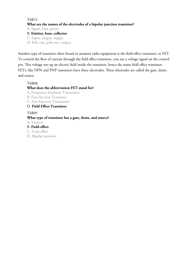#### T6B12

#### **What are the names of the electrodes of a bipolar junction transistor?**

A. Signal, bias, power

B. **Emitter, base, collector**

C. Input, output, supply

D. Pole one, pole two, output

Another type of transistor often found in amateur radio equipment is the field-effect transistor, or FET. To control the flow of current through the field effect transistor, you use a voltage signal on the control pin. This voltage sets up an electric field inside the transistor, hence the name field effect transistor. FETs, like NPN and PNP transistors have three electrodes. These electrodes are called the gate, drain, and source.

#### T6B08

#### **What does the abbreviation FET stand for?**

A. Frequency Emission Transmitter B. Fast Electron Transistor C. Free Electron Transmitter D. **Field Effect Transistor** T6B05 **What type of transistor has a gate, drain, and source?** A. Varistor B. **Field-effect** C. Tesla-effect

D. Bipolar junction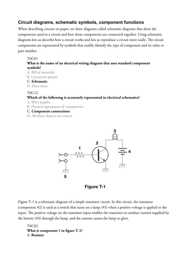#### **Circuit diagrams, schematic symbols, component functions**

When describing circuits on paper, we draw diagrams called schematic diagrams that show the components used in a circuit and how those components are connected together. Using schematic diagrams lets us describe how a circuit works and lets us reproduce a circuit more easily. The circuit components are represented by symbols that readily identify the type of component and its value or part number.

#### T6C01

#### **What is the name of an electrical wiring diagram that uses standard component symbols?**

- A. Bill of materials
- B. Connector pinout

#### C. **Schematic**

D. Flow chart

#### T6C12

#### **Which of the following is accurately represented in electrical schematics?**

- A. Wire lengths
- B. Physical appearance of components

#### C. **Component connections**

D. All these choices are correct





Figure T-1 is a schematic diagram of a simple transistor circuit. In this circuit, the transistor (component #2) is used as a switch that turns on a lamp (#3) when a positive voltage is applied to the input. The positive voltage on the transistor input enables the transistor to conduct current supplied by the battery (#4) through the lamp, and the current causes the lamp to glow.

T6C02 **What is component 1 in figure T-1?** A. **Resistor**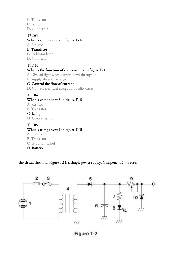B. Transistor

C. Battery

D. Connector

#### T6C03

#### **What is component 2 in figure T-1?**

A. Resistor

#### B. **Transistor**

- C. Indicator lamp
- D. Connector

#### T6D10

#### **What is the function of component 2 in figure T-1?**

- A. Give off light when current flows through it
- B. Supply electrical energy

#### C. **Control the flow of current**

D. Convert electrical energy into radio waves

#### T6C04

#### **What is component 3 in figure T-1?**

- A. Resistor
- B. Transistor

#### C. **Lamp**

D. Ground symbol

#### T6C05

#### **What is component 4 in figure T-1?**

- A. Resistor
- B. Transistor
- C. Ground symbol
- D. **Battery**

The circuit shown in Figure T2 is a simple power supply. Component 2 is a fuse.



Figure T-2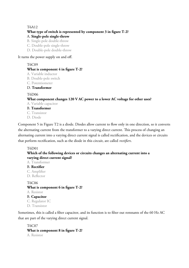#### T6A12

#### **What type of switch is represented by component 3 in figure T-2?** A. **Single-pole single-throw**

B. Single-pole double-throw

C. Double-pole single-throw

D. Double-pole double-throw

It turns the power supply on and off.

#### T6C09 **What is component 4 in figure T-2?**

A. Variable inductor

B. Double-pole switch

C. Potentiometer

D. **Transformer**

#### T6D06

#### **What component changes 120 V AC power to a lower AC voltage for other uses?** A. Variable capacitor

B. **Transformer**

C. Transistor

D. Diode

Component 5 in Figure T2 is a diode. Diodes allow current to flow only in one direction, so it converts the alternating current from the transformer to a varying direct current. This process of changing an alternating current into a varying direct current signal is called rectification, and the devices or circuits that perform rectification, such as the diode in this circuit, are called *rectifiers*.

#### T6D01

#### **Which of the following devices or circuits changes an alternating current into a varying direct current signal?** A. Transformer B. **Rectifier** C. Amplifier D. Reflector T6C06 **What is component 6 in figure T-2?** A. Resistor B. **Capacitor** C. Regulator IC D. Transistor Sometimes, this is called a filter capacitor, and its function is to filter out remnants of the 60 Hz AC

that are part of the varying direct current signal.

T6C07 **What is component 8 in figure T-2?** A. Resistor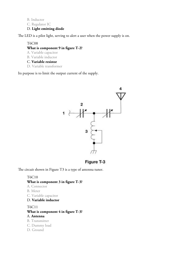B. Inductor

C. Regulator IC

#### D. **Light emitting diode**

The LED is a pilot light, serving to alert a user when the power supply is on.

#### T6C08

#### **What is component 9 in figure T-2?**

- A. Variable capacitor
- B. Variable inductor

#### C. **Variable resistor**

D. Variable transformer

Its purpose is to limit the output current of the supply.



Figure T-3

The circuit shown in Figure T3 is a type of antenna tuner.

#### T6C10

#### **What is component 3 in figure T-3?**

- A. Connector
- B. Meter
- C. Variable capacitor

#### D. **Variable inductor**

T6C11 **What is component 4 in figure T-3?** A. **Antenna** B. Transmitter C. Dummy load D. Ground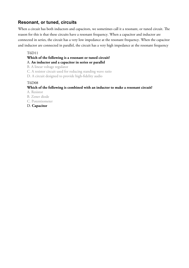#### **Resonant, or tuned, circuits**

When a circuit has both inductors and capacitors, we sometimes call it a resonant, or tuned circuit. The reason for this is that these circuits have a resonant frequency. When a capacitor and inductor are connected in series, the circuit has a very low impedance at the resonant frequency. When the capacitor and inductor are connected in parallel, the circuit has a very high impedance at the resonant frequency

#### T6D11

#### **Which of the following is a resonant or tuned circuit?**

#### A. **An inductor and a capacitor in series or parallel**

B. A linear voltage regulator

C. A resistor circuit used for reducing standing wave ratio

D. A circuit designed to provide high-fidelity audio

#### T6D08

#### **Which of the following is combined with an inductor to make a resonant circuit?**

A. Resistor

B. Zener diode

C. Potentiometer

D. **Capacitor**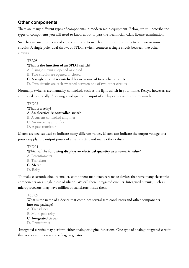# **Other components**

There are many different types of components in modern radio equipment. Below, we will describe the types of components you will need to know about to pass the Technician Class license examination.

Switches are used to open and close circuits or to switch an input or output between two or more circuits. A single-pole, dual-throw, or SPDT, switch connects a single circuit between two other circuits.

# T6A08

## **What is the function of an SPDT switch?**

A. A single circuit is opened or closed

B. Two circuits are opened or closed

# C. **A single circuit is switched between one of two other circuits**

D. Two circuits are each switched between one of two other circuits

Normally, switches are manually-controlled, such as the light switch in your home. Relays, however, are controlled electrically. Applying a voltage to the input of a relay causes its output to switch.

T6D02 **What is a relay?** A. **An electrically-controlled switch** B. A current controlled amplifier C. An inverting amplifier D. A pass transistor

Meters are devices used to indicate many different values. Meters can indicate the output voltage of a power supply, the output power of a transmitter, and many other values.

# T6D04

# **Which of the following displays an electrical quantity as a numeric value?**

A. Potentiometer B. Transistor C. **Meter** D. Relay

To make electronic circuits smaller, component manufacturers make devices that have many electronic components on a single piece of silicon. We call these integrated circuits. Integrated circuits, such as microprocessors, may have million of transistors inside them.

# T6D09

What is the name of a device that combines several semiconductors and other components into one package?

A. Transducer

B. Multi-pole relay

#### C. **Integrated circuit**

D. Transformer

 Integrated circuits may perform either analog or digital functions. One type of analog integrated circuit that is very common is the voltage regulator.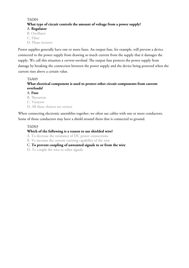### T6D05 **What type of circuit controls the amount of voltage from a power supply?** A. **Regulator**

B. Oscillator C. Filter

D. Phase inverter

Power supplies generally have one or more fuses. An output fuse, for example, will prevent a device connected to the power supply from drawing so much current from the supply that it damages the supply. We call this situation a *current overload*. The output fuse protects the power supply from damage by breaking the connection between the power supply and the device being powered when the current rises above a certain value.

### T6A09

**What electrical component is used to protect other circuit components from current overloads?**

#### A. **Fuse**

B. Thyratron C. Varactor D. All these choices are correct

When connecting electronic assemblies together, we often use cables with one or more conductors. Some of those conductors may have a shield around them that is connected to ground.

# T6D03

# **Which of the following is a reason to use shielded wire?**

A. To decrease the resistance of DC power connections

B. To increase the current carrying capability of the wire

# C. **To prevent coupling of unwanted signals to or from the wire**

D. To couple the wire to other signals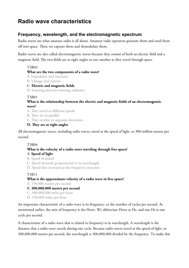# **Radio wave characteristics**

# **Frequency, wavelength, and the electromagnetic spectrum**

Radio waves are what amateur radio is all about. Amateur radio operators generate them and send them off into space. Then, we capture them and demodulate them.

Radio waves are also called electromagnetic waves because they consist of both an electric field and a magnetic field. The two fields are at right angles to one another as they travel through space.

# T3B03

# **What are the two components of a radio wave?**

A. Impedance and reactance

- B. Voltage and current
- C. **Electric and magnetic fields**
- D. Ionizing and non-ionizing radiation

### T3B01

### **What is the relationship between the electric and magnetic fields of an electromagnetic wave?**

- A. They travel at different speeds
- B. They are in parallel
- C. They revolve in opposite directions

# **D. They are at right angles**

All electromagnetic waves, including radio waves, travel at the speed of light, or 300 million meters per second.

# T3B04

# **What is the velocity of a radio wave traveling through free space?**

# A. **Speed of light**

- B. Speed of sound
- C. Speed inversely proportional to its wavelength
- D. Speed that increases as the frequency increases

# T3B11

# **What is the approximate velocity of a radio wave in free space?**

A. 150,000 meters per second

# B. **300,000,000 meters per second**

- C. 300,000,000 miles per hour
- D. 150,000 miles per hour

An important characteristic of a radio wave is its frequency, or the number of cycles per second. As mentioned earlier, the unit of frequency is the Hertz. We abbreviate Hertz as Hz, and one Hz is one cycle per second.

A characteristic of a radio wave that is related to frequency is its wavelength. A wavelength is the distance that a radio wave travels during one cycle. Because radio waves travel at the speed of light, or 300,000,000 meters per second, the wavelength is 300,000,000 divided by the frequency. To make this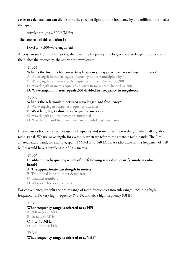easier to calculate, you can divide both the speed of light and the frequency by one million. That makes the equation:

wavelength  $(m) = 300/f (MHz)$ 

The converse of this equation is:

 $f(MHz) = 300/wavelength (m)$ 

As you can see from the equations, the lower the frequency, the longer the wavelength, and vice versa, the higher the frequency, the shorter the wavelength.

### T3B06

### **What is the formula for converting frequency to approximate wavelength in meters?**

A. Wavelength in meters equals frequency in hertz multiplied by 300

B. Wavelength in meters equals frequency in hertz divided by 300

C. Wavelength in meters equals frequency in megahertz divided by 300

### D. **Wavelength in meters equals 300 divided by frequency in megahertz**

T3B05

**What is the relationship between wavelength and frequency?**

A. Wavelength gets longer as frequency increases

B. **Wavelength gets shorter as frequency increases**

C. Wavelength and frequency are unrelated

D. Wavelength and frequency increase as path length increases

In amateur radio, we sometimes use the frequency and sometimes the wavelength when talking about a radio signal. We use wavelength, for example, when we refer to the amateur radio bands. The 2 m amateur radio band, for example, spans 144 MHz to 148 MHz. A radio wave with a frequency of 148 MHz, would have a wavelength of 2.03 meters.

#### T3B07

# **In addition to frequency, which of the following is used to identify amateur radio bands?**

#### A. **The approximate wavelength in meters**

- B. Traditional letter/number designators
- C. Channel numbers
- D. All these choices are correct

For convenience, we split the entire range of radio frequencies into sub-ranges, including high frequency (HF), very high frequency (VHF), and ultra high frequency (UHF).

# T3B10 **What frequency range is referred to as HF?** A. 300 to 3000 MHz B. 30 to 300 MHz C. **3 to 30 MHz** D. 300 to 3000 kHz

T3B08 **What frequency range is referred to as VHF?**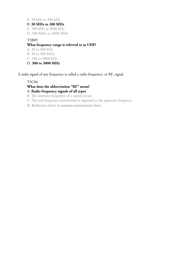A. 30 kHz to 300 kHz

# B. **30 MHz to 300 MHz**

C. 300 kHz to 3000 kHz D. 300 MHz to 3000 MHz

#### T3B09

#### **What frequency range is referred to as UHF?**

A. 30 to 300 kHz B. 30 to 300 MHz C. 300 to 3000 kHz

D. **300 to 3000 MHz**

A radio signal of any frequency is called a radio frequency, or RF, signal.

### T5C06

# **What does the abbreviation "RF" mean?**

# A. **Radio frequency signals of all types**

B. The resonant frequency of a tuned circuit

C. The real frequency transmitted as opposed to the apparent frequency

D. Reflective force in antenna transmission lines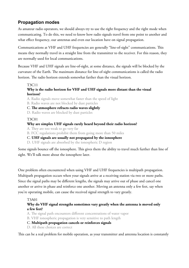# **Propagation modes**

As amateur radio operators, we should always try to use the right frequency and the right mode when communicating. To do this, we need to know how radio signals travel from one point to another and what effect frequency, our antennas and even our location have on signal propagation.

Communications at VHF and UHF frequencies are generally "line-of-sight" communications. This means they normally travel in a straight line from the transmitter to the receiver. For this reason, they are normally used for local communications.

Because VHF and UHF signals are line-of-sight, at some distance, the signals will be blocked by the curvature of the Earth. The maximum distance for line-of-sight communications is called the radio horizon. The radio horizon extends somewhat farther than the visual horizon.

# T3C11

# **Why is the radio horizon for VHF and UHF signals more distant than the visual horizon?**

A. Radio signals move somewhat faster than the speed of light

B. Radio waves are not blocked by dust particles

C. **The atmosphere refracts radio waves slightly**

D. Radio waves are blocked by dust particles

### T3C01

# **Why are simplex UHF signals rarely heard beyond their radio horizon?**

- A. They are too weak to go very far
- B. FCC regulations prohibit them from going more than 50 miles

# C. **UHF signals are usually not propagated by the ionosphere**

D. UHF signals are absorbed by the ionospheric D region

Some signals bounce off the ionosphere. This gives them the ability to travel much further than line of sight. We'll talk more about the ionosphere later.

One problem often encountered when using VHF and UHF frequencies is multipath propagation. Multipath propagation occurs when your signals arrive at a receiving station via two or more paths. Since the signal paths may be different lengths, the signals may arrive out of phase and cancel one another or arrive in phase and reinforce one another. Moving an antenna only a few feet, say when you're operating mobile, can cause the received signal strength to vary greatly.

# T3A01

# **Why do VHF signal strengths sometimes vary greatly when the antenna is moved only a few feet?**

A. The signal path encounters different concentrations of water vapor

B. VHF ionospheric propagation is very sensitive to path length

# C. **Multipath propagation cancels or reinforces signals**

D. All these choices are correct

This can be a real problem for mobile operation, as your transmitter and antenna location is constantly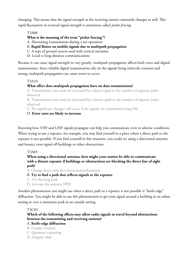changing. This means that the signal strength at the receiving station constantly changes as well. This rapid fluctuation in received signal strength is sometimes called *picket fencing*.

## T3A06

# **What is the meaning of the term "picket fencing"?**

A. Alternating transmissions during a net operation

- B. **Rapid flutter on mobile signals due to multipath propagation**
- C. A type of ground system used with vertical antennas
- D. Local vs long-distance communications

Because it can cause signal strength to vary greatly, multipath propagation affects both voice and digital transmissions. Since reliable digital transmissions rely on the signals being relatively constant and strong, multipath propagation can cause errors to occur.

# T3A10

### **What effect does multipath propagation have on data transmissions?**

A. Transmission rates must be increased by a factor equal to the number of separate paths observed

B. Transmission rates must be decreased by a factor equal to the number of separate paths observed

C. No significant changes will occur if the signals are transmitted using FM

#### D. **Error rates are likely to increase**

Knowing how VHF and UHF signals propagate can help you communicate even in adverse conditions. When trying to use a repeater, for example, you may find yourself in a place where a direct path to the repeater is not possible. If you find yourself in this situation, you could try using a directional antenna and bounce your signal off buildings or other obstructions.

#### T3A05

**When using a directional antenna, how might your station be able to communicate with a distant repeater if buildings or obstructions are blocking the direct line of sight path?**

A. Change from vertical to horizontal polarization

B. **Try to find a path that reflects signals to the repeater**

- C. Try the long path
- D. Increase the antenna SWR

Another phenomenon you might use when a direct path to a repeater is not possible is "knife-edge" diffraction. You might be able to use this phenomenon to get your signal around a building in an urban setting or over a mountain peak in an outside setting.

#### T3C05

#### **Which of the following effects may allow radio signals to travel beyond obstructions between the transmitting and receiving stations?** A. **Knife-edge diffraction**

# B. Faraday rotation

C. Quantum tunneling

D. Doppler shift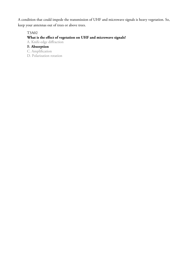A condition that could impede the transmission of UHF and microwave signals is heavy vegetation. So, keep your antennas out of trees or above trees.

## T3A02

# **What is the effect of vegetation on UHF and microwave signals?**

A. Knife-edge diffraction

## B. **Absorption**

- C. Amplification
- D. Polarization rotation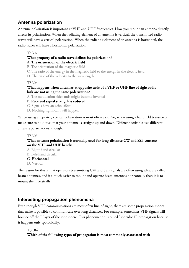# **Antenna polarization**

Antenna polarization is important at VHF and UHF frequencies. How you mount an antenna directly affects its polarization. When the radiating element of an antenna is vertical, the transmitted radio waves will have a vertical polarization. When the radiating element of an antenna is horizontal, the radio waves will have a horizontal polarization.

### T3B02

# **What property of a radio wave defines its polarization?**

# A. **The orientation of the electric field**

- B. The orientation of the magnetic field
- C. The ratio of the energy in the magnetic field to the energy in the electric field
- D. The ratio of the velocity to the wavelength

### T3A04

## **What happens when antennas at opposite ends of a VHF or UHF line of sight radio link are not using the same polarization?**

A. The modulation sidebands might become inverted

B. **Received signal strength is reduced**

- C. Signals have an echo effect
- D. Nothing significant will happen

When using a repeater, vertical polarization is most often used. So, when using a handheld transceiver, make sure to hold it so that your antenna is straight up and down. Different activities use different antenna polarizations, though.

#### T3A03

### **What antenna polarization is normally used for long-distance CW and SSB contacts on the VHF and UHF bands?**

- A. Right-hand circular
- B. Left-hand circular

#### C. **Horizontal**

D. Vertical

The reason for this is that operators transmitting CW and SSB signals are often using what are called beam antennas, and it's much easier to mount and operate beam antennas horizontally than it is to mount them vertically.

# **Interesting propagation phenomena**

Even though VHF communications are most often line-of-sight, there are some propagation modes that make it possible to communicate over long distances. For example, sometimes VHF signals will bounce off the E layer of the ionosphere. This phenomenon is called "sporadic E" propagation because it happens only sporadically.

#### T3C04

**Which of the following types of propagation is most commonly associated with**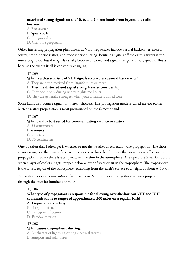#### **occasional strong signals on the 10, 6, and 2 meter bands from beyond the radio horizon?**

A. Backscatter

#### B. **Sporadic E**

C. D region absorption

D. Gray-line propagation

Other interesting propagation phenomena at VHF frequencies include auroral backscatter, meteor scatter, tropospheric scatter, and tropospheric ducting. Bouncing signals off the earth's aurora is very interesting to do, but the signals usually become distorted and signal strength can vary greatly. This is because the aurora itself is constantly changing.

### T3C03

#### **What is a characteristic of VHF signals received via auroral backscatter?**

A. They are often received from 10,000 miles or more

B. **They are distorted and signal strength varies considerably**

C. They occur only during winter nighttime hours

D. They are generally strongest when your antenna is aimed west

Some hams also bounce signals off meteor showers. This propagation mode is called meteor scatter. Meteor scatter propagation is most pronounced on the 6-meter band.

# T3C07

### **What band is best suited for communicating via meteor scatter?**

A. 33 centimeters

# B. **6 meters**

C. 2 meters

D. 70 centimeters

One question that I often get is whether or not the weather affects radio wave propagation. The short answer is no, but there are, of course, exceptions to this rule. One way that weather can affect radio propagation is when there is a temperature inversion in the atmosphere. A temperature inversion occurs when a layer of cooler air gets trapped below a layer of warmer air in the troposphere. The troposphere is the lowest region of the atmosphere, extending from the earth's surface to a height of about 6–10 km.

When this happens, a *tropospheric duct* may form. VHF signals entering this duct may propagate through the duct for hundreds of miles.

# T3C06

# **What type of propagation is responsible for allowing over-the-horizon VHF and UHF communications to ranges of approximately 300 miles on a regular basis?**

#### A. **Tropospheric ducting**

- B. D region refraction
- C. F2 region refraction
- D. Faraday rotation

# T3C08

# **What causes tropospheric ducting?**

A. Discharges of lightning during electrical storms

B. Sunspots and solar flares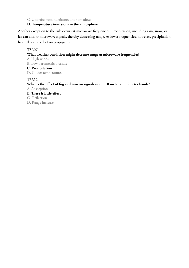#### C. Updrafts from hurricanes and tornadoes

#### D. **Temperature inversions in the atmosphere**

Another exception to the rule occurs at microwave frequencies. Precipitation, including rain, snow, or ice can absorb microwave signals, thereby decreasing range. At lower frequencies, however, precipitation has little or no effect on propagation.

#### T3A07

#### **What weather condition might decrease range at microwave frequencies?**

A. High winds

B. Low barometric pressure

#### C. **Precipitation**

D. Colder temperatures

#### T3A12

# **What is the effect of fog and rain on signals in the 10 meter and 6 meter bands?**

A. Absorption

# B. **There is little effect**

C. Deflection

D. Range increase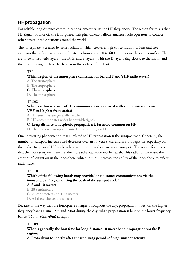# **HF propagation**

For reliable long-distance communications, amateurs use the HF frequencies. The reason for this is that HF signals bounce off the ionosphere. This phenomenon allows amateur radio operators to contact other amateur radio stations around the world.

The ionosphere is created by solar radiation, which creates a high concentration of ions and free electrons that reflect radio waves. It extends from about 50 to 600 miles above the earth's surface. There are three ionospheric layers—the D, E, and F layers—with the D layer being closest to the Earth, and the F layer being the layer farthest from the surface of the Earth.

# T3A11

# **Which region of the atmosphere can refract or bend HF and VHF radio waves?**

- A. The stratosphere
- B. The troposphere
- C. **The ionosphere**
- D. The mesosphere

### T3C02

#### **What is a characteristic of HF communication compared with communications on VHF and higher frequencies?**

A. HF antennas are generally smaller

B. HF accommodates wider bandwidth signals

### C. **Long-distance ionospheric propagation is far more common on HF**

D. There is less atmospheric interference (static) on HF

One interesting phenomenon that is related to HF propagation is the sunspot cycle. Generally, the number of sunspots increases and decreases over an 11-year cycle, and HF propagation, especially on the higher frequency HF bands, is best at times when there are many sunspots. The reason for this is that the more sunspots there are, the more solar radiation reaches earth. This radiation increases the amount of ionization in the ionosphere, which in turn, increases the ability of the ionosphere to reflect radio wave.

# T3C10

# **Which of the following bands may provide long-distance communications via the ionosphere's F region during the peak of the sunspot cycle?**

## A. **6 and 10 meters**

B. 23 centimeters C. 70 centimeters and 1.25 meters D. All these choices are correct

Because of the way that the ionosphere changes throughout the day, propagation is best on the higher frequency bands (10m, 15m and 20m) during the day, while propagation is best on the lower frequency bands (160m, 80m, 40m) at night.

# T3C09

**What is generally the best time for long-distance 10 meter band propagation via the F region?**

A. **From dawn to shortly after sunset during periods of high sunspot activity**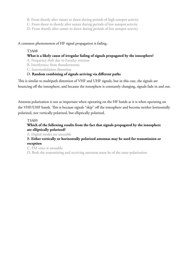B. From shortly after sunset to dawn during periods of high sunspot activity

C. From dawn to shortly after sunset during periods of low sunspot activity

D. From shortly after sunset to dawn during periods of low sunspot activity

#### A common phenomenon of HF signal propagation is fading.

#### T3A08

### **What is a likely cause of irregular fading of signals propagated by the ionosphere?**

- A. Frequency shift due to Faraday rotation
- B. Interference from thunderstorms
- C. Intermodulation distortion

### D. **Random combining of signals arriving via different paths**

This is similar to multipath distortion of VHF and UHF signals, but in this case, the signals are bouncing off the ionosphere, and because the ionosphere is constantly changing, signals fade in and out.

Antenna polarization is not as important when operating on the HF bands as it is when operating on the VHF/UHF bands. This is because signals "skip" off the ionosphere and become neither horizontally polarized, nor vertically polarized, but elliptically polarized.

#### T3A09

# **Which of the following results from the fact that signals propagated by the ionosphere are elliptically polarized?**

A. Digital modes are unusable

### B. **Either vertically or horizontally polarized antennas may be used for transmission or reception**

C. FM voice is unusable

D. Both the transmitting and receiving antennas must be of the same polarization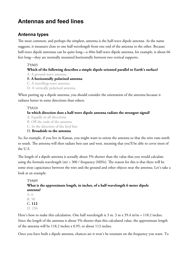# **Antennas and feed lines**

# **Antenna types**

The most common, and perhaps the simplest, antenna is the half-wave dipole antenna. As the name suggests, it measures close to one half wavelength from one end of the antenna to the other. Because half-wave dipole antennas can be quite long—a 40m half-wave dipole antenna, for example, is about 66 feet long—they are normally mounted horizontally between two vertical supports.

# T9A03

# **Which of the following describes a simple dipole oriented parallel to Earth's surface?**

A. A ground-wave antenna

# B. **A horizontally polarized antenna**

- C. A travelling-wave antenna
- D. A vertically polarized antenna

When putting up a dipole antenna, you should consider the orientation of the antenna because it radiates better in some directions than others.

# T9A10

# **In which direction does a half-wave dipole antenna radiate the strongest signal?**

- A. Equally in all directions
- B. Off the ends of the antenna
- C. In the direction of the feed line

# D. **Broadside to the antenna**

So, for example, if you live in Kansas, you might want to orient the antenna so that the wire runs north to south. The antenna will then radiate best east and west, meaning that you'll be able to cover most of the U.S.

The length of a dipole antenna is actually about 5% shorter than the value that you would calculate using the formula wavelength (m) = 300 / frequency (MHz). The reason for this is that there will be some stray capacitance between the wire and the ground and other objects near the antenna. Let's take a look at an example.

T9A09 **What is the approximate length, in inches, of a half-wavelength 6 meter dipole antenna?** A. 6 B. 50 C. **112** D. 236

Here's how to make this calculation. One half wavelength is 3 m. 3 m x 39.4 in/m = 118.2 inches. Since the length of the antenna is about 5% shorter than this calculated value, the approximate length of the antenna will be 118.2 inches x 0.95, or about 112 inches.

Once you have built a dipole antenna, chances are it won't be resonant on the frequency you want. To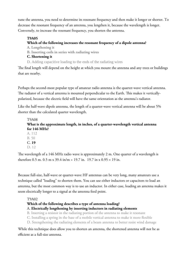tune the antenna, you need to determine its resonant frequency and then make it longer or shorter. To decrease the resonant frequency of an antenna, you lengthen it, because the wavelength is longer. Conversely, to increase the resonant frequency, you shorten the antenna.

## **T9A05**

### **Which of the following increases the resonant frequency of a dipole antenna?**

- **A. Lengthening it**
- **B. Inserting coils in series with radiating wires**
- **C. Shortening it**
- D. Adding capacitive loading to the ends of the radiating wires

The final length will depend on the height at which you mount the antenna and any trees or buildings that are nearby.

Perhaps the second-most popular type of amateur radio antenna is the quarter-wave vertical antenna. The radiator of a vertical antenna is mounted perpendicular to the Earth. This makes it verticallypolarized, because the electric field will have the same orientation as the antenna's radiator.

Like the half-wave dipole antenna, the length of a quarter-wave vertical antenna will be about 5% shorter than the calculated quarter wavelength.

T9A08 **What is the approximate length, in inches, of a quarter-wavelength vertical antenna for 146 MHz?** A. 112 B. 50 C. **19** D. 12

The wavelength of a 146 MHz radio wave is approximately 2 m. One quarter of a wavelength is therefore 0.5 m, 0.5 m x 39.4 in/m = 19.7 in, 19.7 in x 0.95  $\approx$  19 in.

Because full-size, half-wave or quarter-wave HF antennas can be very long, many amateurs use a technique called "loading" to shorten them. You can use either inductors or capacitors to load an antenna, but the most common way is to use an inductor. In either case, loading an antenna makes it seem electrically longer to a signal at the antenna feed point.

# T9A02

# **Which of the following describes a type of antenna loading?**

A. **Electrically lengthening by inserting inductors in radiating elements**

- B. Inserting a resistor in the radiating portion of the antenna to make it resonant
- C. Installing a spring in the base of a mobile vertical antenna to make it more flexible
- D. Strengthening the radiating elements of a beam antenna to better resist wind damage

While this technique does allow you to shorten an antenna, the shortened antenna will not be as efficient as a full-size antenna.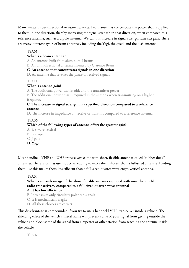Many amateurs use directional or *beam antennas*. Beam antennas concentrate the power that is applied to them in one direction, thereby increasing the signal strength in that direction, when compared to a reference antenna, such as a dipole antenna. We call this increase in signal strength *antenna gain*. There are many different types of beam antennas, including the Yagi, the quad, and the dish antenna.

#### T9A01

#### **What is a beam antenna?**

A. An antenna built from aluminum I-beams

B. An omnidirectional antenna invented by Clarence Beam

#### C. **An antenna that concentrates signals in one direction**

D. An antenna that reverses the phase of received signals

#### T9A11

#### **What is antenna gain?**

A. The additional power that is added to the transmitter power

B. The additional power that is required in the antenna when transmitting on a higher frequency

#### C. **The increase in signal strength in a specified direction compared to a reference antenna**

D. The increase in impedance on receive or transmit compared to a reference antenna

#### T9A06

#### **Which of the following types of antenna offers the greatest gain?**

A. 5/8 wave vertical B. Isotropic C. J pole D. **Yagi**

Most handheld VHF and UHF transceivers come with short, flexible antennas called "rubber duck" antennas. These antennas use inductive loading to make them shorter than a full-sized antenna. Loading them like this makes them less efficient than a full-sized quarter-wavelength vertical antenna.

T9A04

### **What is a disadvantage of the short, flexible antenna supplied with most handheld radio transceivers, compared to a full-sized quarter-wave antenna?**

#### A. **It has low efficiency**

B. It transmits only circularly polarized signals

C. It is mechanically fragile

D. All these choices are correct

This disadvantage is compounded if you try to use a handheld VHF transceiver inside a vehicle. The shielding effect of the vehicle's metal frame will prevent some of your signal from getting outside the vehicle and block some of the signal from a repeater or other station from reaching the antenna inside the vehicle.

T9A07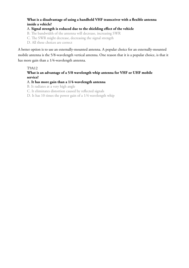#### **What is a disadvantage of using a handheld VHF transceiver with a flexible antenna inside a vehicle?**

#### A. **Signal strength is reduced due to the shielding effect of the vehicle**

B. The bandwidth of the antenna will decrease, increasing SWR

C. The SWR might decrease, decreasing the signal strength

D. All these choices are correct

A better option is to use an externally-mounted antenna. A popular choice for an externally-mounted mobile antenna is the 5/8-wavelength vertical antenna. One reason that it is a popular choice, is that it has more gain than a 1/4-wavelength antenna.

#### T9A12

**What is an advantage of a 5/8 wavelength whip antenna for VHF or UHF mobile service?**

### A. **It has more gain than a 1/4-wavelength antenna**

B. It radiates at a very high angle

C. It eliminates distortion caused by reflected signals

D. It has 10 times the power gain of a 1/4 wavelength whip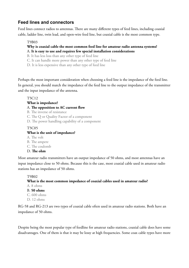# **Feed lines and connectors**

Feed lines connect radios to antennas. There are many different types of feed lines, including coaxial cable, ladder line, twin lead, and open-wire feed line, but coaxial cable is the most common type.

### T9B03

# **Why is coaxial cable the most common feed line for amateur radio antenna systems?** A. **It is easy to use and requires few special installation considerations**

B. It has less loss than any other type of feed line

C. It can handle more power than any other type of feed line

D. It is less expensive than any other type of feed line

Perhaps the most important consideration when choosing a feed line is the impedance of the feed line. In general, you should match the impedance of the feed line to the output impedance of the transmitter and the input impedance of the antenna.

# T5C12

# **What is impedance?**

# A. **The opposition to AC current flow**

B. The inverse of resistance

C. The Q or Quality Factor of a component

D. The power handling capability of a component

# T5C05

**What is the unit of impedance?**  A. The volt B. The ampere C. The coulomb D. **The ohm**

Most amateur radio transmitters have an output impedance of 50 ohms, and most antennas have an input impedance close to 50 ohms. Because this is the case, most coaxial cable used in amateur radio stations has an impedance of 50 ohms.

T9B02 **What is the most common impedance of coaxial cables used in amateur radio?** A. 8 ohms B. **50 ohms** C. 600 ohms D. 12 ohms

RG-58 and RG-213 are two types of coaxial cable often used in amateur radio stations. Both have an impedance of 50 ohms.

Despite being the most popular type of feedline for amateur radio stations, coaxial cable does have some disadvantages. One of them is that it may be lossy at high frequencies. Some coax cable types have more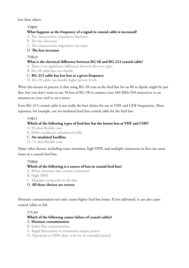loss than others.

## T9B05

#### **What happens as the frequency of a signal in coaxial cable is increased?**

A. The characteristic impedance decreases

- B. The loss decreases
- C. The characteristic impedance increases

#### D. **The loss increases**

#### T9B10

### **What is the electrical difference between RG-58 and RG-213 coaxial cable?**

A. There is no significant difference between the two types

B. RG-58 cable has two shields

### C. **RG-213 cable has less loss at a given frequency**

D. RG-58 cable can handle higher power levels

What this means in practice is that using RG-58 coax as the feed line for an 80 m dipole might be just fine, but you don't want to use 50 feet of RG-58 to connect your 440 MHz FM transceiver to an antenna on your roof or on a tower.

Even RG-213 coaxial cable is not really the best choice for use at VHF and UHF frequencies. Most repeaters, for example, use air-insulated hard line coaxial cable for the feed line.

#### T9B11

# **Which of the following types of feed line has the lowest loss at VHF and UHF?**

- A. 50-ohm flexible coax
- B. Multi-conductor unbalanced cable
- C. **Air-insulated hardline**
- D. 75-ohm flexible coax

Many other factors, including water intrusion, high SWR, and multiple connectors in line can cause losses in a coaxial feed line.

# T9B08

# **Which of the following is a source of loss in coaxial feed line?**

- A. Water intrusion into coaxial connectors
- B. High SWR
- C. Multiple connectors in the line

# D. **All these choices are correct**

Moisture contamination not only causes higher feed line losses. If not addressed, it can also cause coaxial cables to fail.

# T7C09

# **Which of the following causes failure of coaxial cables?** A. **Moisture contamination**

- B. Solder flux contamination
- C. Rapid fluctuation in transmitter output power
- D. Operation at 100% duty cycle for an extended period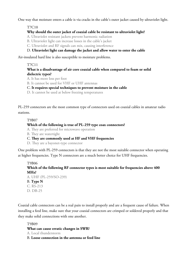One way that moisture enters a cable is via cracks in the cable's outer jacket caused by ultraviolet light.

T7C10

#### **Why should the outer jacket of coaxial cable be resistant to ultraviolet light?**

A. Ultraviolet resistant jackets prevent harmonic radiation

B. Ultraviolet light can increase losses in the cable's jacket

C. Ultraviolet and RF signals can mix, causing interference

#### D. **Ultraviolet light can damage the jacket and allow water to enter the cable**

Air-insulated hard line is also susceptible to moisture problems.

#### T7C11

#### **What is a disadvantage of air core coaxial cable when compared to foam or solid dielectric types?**

A. It has more loss per foot

B. It cannot be used for VHF or UHF antennas

#### C. **It requires special techniques to prevent moisture in the cable**

D. It cannot be used at below freezing temperatures

PL-259 connectors are the most common type of connectors used on coaxial cables in amateur radio stations.

#### T9B07

#### **Which of the following is true of PL-259 type coax connectors?**

A. They are preferred for microwave operation

B. They are watertight

#### C. **They are commonly used at HF and VHF frequencies**

D. They are a bayonet-type connector

One problem with PL-259 connectors is that they are not the most suitable connector when operating at higher frequencies. Type N connectors are a much better choice for UHF frequencies.

T9B06 **Which of the following RF connector types is most suitable for frequencies above 400 MHz?** A. UHF (PL-259/SO-239)

B. **Type N** C. RS-213

D. DB-25

Coaxial cable connectors can be a real pain to install properly and are a frequent cause of failure. When installing a feed line, make sure that your coaxial connectors are crimped or soldered properly and that they make solid connections with one another.

T9B09 **What can cause erratic changes in SWR?** A. Local thunderstorm B. **Loose connection in the antenna or feed line**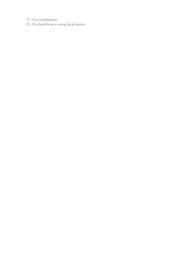C. Over-modulation D. Overload from a strong local station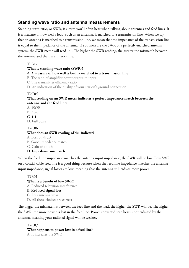# **Standing wave ratio and antenna measurements**

Standing wave ratio, or SWR, is a term you'll often hear when talking about antennas and feed lines. It is a measure of how well a load, such as an antenna, is matched to a transmission line. When we say that an antenna is matched to a transmission line, we mean that the impedance of the transmission line is equal to the impedance of the antenna. If you measure the SWR of a perfectly-matched antenna system, the SWR meter will read 1:1. The higher the SWR reading, the greater the mismatch between the antenna and the transmission line.

T9B12

#### **What is standing wave ratio (SWR)?**

#### A. **A measure of how well a load is matched to a transmission line**

- B. The ratio of amplifier power output to input
- C. The transmitter efficiency ratio

D. An indication of the quality of your station's ground connection

#### T7C04

**What reading on an SWR meter indicates a perfect impedance match between the antenna and the feed line?**

- A. 50:50
- B. Zero
- C. **1:1**

D. Full Scale

### T7C06

#### **What does an SWR reading of 4:1 indicate?**

- A. Loss of -4 dB
- B. Good impedance match
- C. Gain of +4 dB

#### D. **Impedance mismatch**

When the feed line impedance matches the antenna input impedance, the SWR will be low. Low SWR on a coaxial cable feed line is a good thing because when the feed line impedance matches the antenna input impedance, signal losses are low, meaning that the antenna will radiate more power.

T9B01 **What is a benefit of low SWR?** A. Reduced television interference B. **Reduced signal loss** C. Less antenna wear D. All these choices are correct

The bigger the mismatch is between the feed line and the load, the higher the SWR will be. The higher the SWR, the more power is lost in the feed line. Power converted into heat is not radiated by the antenna, meaning your radiated signal will be weaker.

T7C07 **What happens to power lost in a feed line?** A. It increases the SWR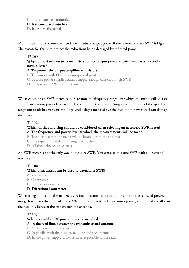B. It is radiated as harmonics

C. **It is converted into heat**

D. It distorts the signal

Most amateur radio transceivers today will reduce output power if the antenna system SWR is high. The reason for this is to protect the radio from being damaged by reflected power.

### T7C05

## **Why do most solid-state transmitters reduce output power as SWR increases beyond a certain level?**

### A. **To protect the output amplifier transistors**

- B. To comply with FCC rules on spectral purity
- C. Because power supplies cannot supply enough current at high SWR
- D. To lower the SWR on the transmission line

When choosing an SWR meter, be sure to note the frequency range over which the meter will operate and the maximum power level at which you can use the meter. Using a meter outside of the specified range can result in erroneous readings, and using a meter above the maximum power level can damage the meter.

### T4A02

## **Which of the following should be considered when selecting an accessory SWR meter?** A. **The frequency and power level at which the measurements will be made**

- B. The distance that the meter will be located from the antenna
- C. The types of modulation being used at the station

D. All these choices are correct

An SWR meter is not the only way to measure SWR. You can also measure SWR with a directional wattmeter.

#### T7C08

#### **Which instrument can be used to determine SWR?**

- A. Voltmeter
- B. Ohmmeter
- C. Iambic pentameter
- D. **Directional wattmeter**

When using a directional wattmeter, you first measure the forward power, then the reflected power, and using those two values, calculate the SWR. Since the wattmeter measures power, you should install it in the feedline, between the transmitter and antenna.

#### T4A05

# **Where should an RF power meter be installed?**

# A. **In the feed line, between the transmitter and antenna**

- B. At the power supply output
- C. In parallel with the push-to-talk line and the antenna
- D. In the power supply cable, as close as possible to the radio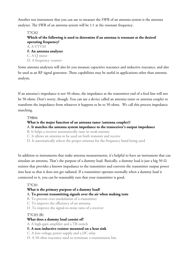Another test instrument that you can use to measure the SWR of an antenna system is the antenna analyzer. The SWR of an antenna system will be 1:1 at the resonant frequency.

T7C02 **Which of the following is used to determine if an antenna is resonant at the desired operating frequency?** A. A VTVM B. **An antenna analyzer** C. A Q meter D. A frequency counter

Some antenna analyzers will also let you measure capacitive reactance and inductive reactance, and also be used as an RF signal generator. These capabilities may be useful in applications other than antenna analysis.

If an antenna's impedance is not 50 ohms, the impedance at the transmitter end of a feed line will not be 50 ohms. Don't worry, though. You can use a device called an antenna tuner or antenna coupler to transform the impedance from whatever it happens to be to 50 ohms. We call this process impedance matching.

#### T9B04

#### **What is the major function of an antenna tuner (antenna coupler)?**

#### A. **It matches the antenna system impedance to the transceiver's output impedance**

B. It helps a receiver automatically tune in weak stations

C. It allows an antenna to be used on both transmit and receive

D. It automatically selects the proper antenna for the frequency band being used

In addition to instruments that make antenna measurements, it's helpful to have an instrument that can simulate an antenna. That's the purpose of a dummy load. Basically, a dummy load is just a big 50  $\Omega$ resistor that provides a known impedance to the transmitter and converts the transmitter output power into heat so that it does not get radiated. If a transmitter operates normally when a dummy load is connected to it, you can be reasonably sure that your transmitter is good.

#### T7C01

#### **What is the primary purpose of a dummy load?**

#### A. **To prevent transmitting signals over the air when making tests**

B. To prevent over-modulation of a transmitter

C. To improve the efficiency of an antenna

D. To improve the signal-to-noise ratio of a receiver

#### T7C03 (B)

# **What does a dummy load consist of?**

A. A high-gain amplifier and a TR switch

#### B. **A non-inductive resistor mounted on a heat sink**

C. A low-voltage power supply and a DC relay

D. A 50-ohm reactance used to terminate a transmission line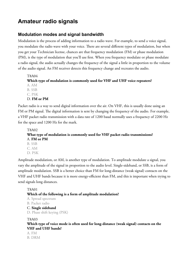# **Amateur radio signals**

# **Modulation modes and signal bandwidth**

Modulation is the process of adding information to a radio wave. For example, to send a voice signal, you modulate the radio wave with your voice. There are several different types of modulation, but when you get your Technician license, chances are that frequency modulation (FM) or phase modulation (PM), is the type of modulation that you'll use first. When you frequency modulate or phase modulate a radio signal, the audio actually changes the frequency of the signal a little in proportion to the volume of the audio signal. An FM receiver detects this frequency change and recreates the audio.

T8A04 **Which type of modulation is commonly used for VHF and UHF voice repeaters?** A. AM B. SSB C. PSK D. **FM or PM**

Packet radio is a way to send digital information over the air. On VHF, this is usually done using an FM or PM signal. The digital information is sent by changing the frequency of the audio. For example, a VHF packet radio transmission with a data rate of 1200 baud normally uses a frequency of 2200 Hz for the space and 1200 Hz for the mark.

T8A02 **What type of modulation is commonly used for VHF packet radio transmissions?** A. **FM or PM** B. SSB C. AM D. PSK

Amplitude modulation, or AM, is another type of modulation. To amplitude modulate a signal, you vary the amplitude of the signal in proportion to the audio level. Single-sideband, or SSB, is a form of amplitude modulation. SSB is a better choice than FM for long-distance (weak signal) contacts on the VHF and UHF bands because it is more energy-efficient than FM, and this is important when trying to send signals long distances.

#### T8A01 **Which of the following is a form of amplitude modulation?** A. Spread spectrum

B. Packet radio

C. **Single sideband** D. Phase shift keying (PSK)

# T8A03

**Which type of voice mode is often used for long-distance (weak signal) contacts on the VHF and UHF bands?**

A. FM B. DRM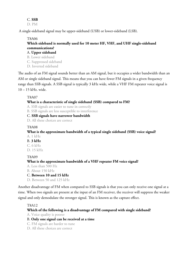# C. **SSB**

D. PM

A single-sideband signal may be upper-sideband (USB) or lower-sideband (LSB).

T8A06

# **Which sideband is normally used for 10 meter HF, VHF, and UHF single-sideband communications?**

### A. **Upper sideband**

- B. Lower sideband C. Suppressed sideband
- D. Inverted sideband

The audio of an FM signal sounds better than an AM signal, but it occupies a wider bandwidth than an AM or single sideband signal. This means that you can have fewer FM signals in a given frequency range than SSB signals. A SSB signal is typically 3 kHz wide, while a VHF FM repeater voice signal is 10 – 15 kHz. wide.

T8A07

# **What is a characteristic of single sideband (SSB) compared to FM?**

A. SSB signals are easier to tune in correctly

B. SSB signals are less susceptible to interference

# C. **SSB signals have narrower bandwidth**

D. All these choices are correct

# T8A08

**What is the approximate bandwidth of a typical single sideband (SSB) voice signal?** A. 1 kHz

B. **3 kHz** C. 6 kHz D. 15 kHz

# T8A09

# **What is the approximate bandwidth of a VHF repeater FM voice signal?**

A. Less than 500 Hz

B. About 150 kHz

# C. **Between 10 and 15 kHz**

D. Between 50 and 125 kHz

Another disadvantage of FM when compared to SSB signals is that you can only receive one signal at a time. When two signals are present at the input of an FM receiver, the receiver will suppress the weaker signal and only demodulate the stronger signal. This is known as the capture effect.

# T8A12

# **Which of the following is a disadvantage of FM compared with single sideband?**

A. Voice quality is poorer

# B. **Only one signal can be received at a time**

C. FM signals are harder to tune

D. All these choices are correct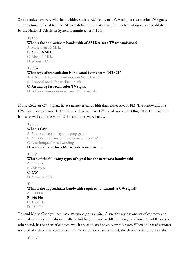Some modes have very wide bandwidths, such as AM fast-scan TV. Analog fast-scan color TV signals are sometimes referred to as NTSC signals because the standard for this type of signal was established by the National Television System Committee, or NTSC.

#### T8A10

**What is the approximate bandwidth of AM fast-scan TV transmissions?** A. More than 10 MHz B. **About 6 MHz** C. About 3 MHz D. About 1 MHz T8D04 **What type of transmission is indicated by the term "NTSC?"** A. A Normal Transmission mode in Static Circuit B. A special mode for satellite uplink C. **An analog fast-scan color TV signal**

D. A frame compression scheme for TV signals

Morse Code, or CW, signals have a narrower bandwidth than either AM or FM. The bandwidth of a CW signal is approximately 150 Hz. Technicians have CW privileges on the 80m, 40m, 15m, and 10m bands, as well as all the VHF, UHF, and microwave bands.

T8D09 **What is CW?** A. A type of electromagnetic propagation B. A digital mode used primarily on 2 meter FM C. A technique for coil winding D. **Another name for a Morse code transmission** T8A05 **Which of the following types of signal has the narrowest bandwidth?** A. FM voice B. SSB voice C. **CW** D. Slow-scan TV T8A11 **What is the approximate bandwidth required to transmit a CW signal?** A. 2.4 kHz B. **150 Hz** C. 1000 Hz

To send Morse Code you can use a *straight key* or a *paddle*. A straight key has one set of contacts, and you make the dits and dahs manually by holding it down for different lengths of time. A paddle, on the other hand, has two sets of contacts which are connected to an *electronic keyer*. When one set of contacts is closed, the electronic keyer sends dits. When the other set is closed, the electronic keyer sends dahs.

T4A12

D. 15 kHz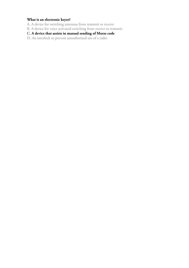# **What is an electronic keyer?**

A. A device for switching antennas from transmit to receive

B. A device for voice activated switching from receive to transmit

# C. **A device that assists in manual sending of Morse code**

D. An interlock to prevent unauthorized use of a radio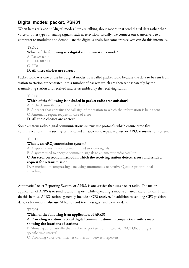# **Digital modes: packet, PSK31**

When hams talk about "digital modes," we are talking about modes that send digital data rather than voice or other types of analog signals, such as television. Usually, we connect our transceivers to a computer to modulate and demodulate the digital signals, but some transceivers can do this internally.

### T8D01

## **Which of the following is a digital communications mode?**

A. Packet radio B. IEEE 802.11 C. FT8

#### D. **All these choices are correct**

Packet radio was one of the first digital modes. It is called packet radio because the data to be sent from station to station are separated into a number of packets which are then sent separately by the transmitting station and received and re-assembled by the receiving station.

### T8D08

### **Which of the following is included in packet radio transmissions?**

A. A check sum that permits error detection

B. A header that contains the call sign of the station to which the information is being sent

C. Automatic repeat request in case of error

### D. **All these choices are correct**

Some amateur radio digital communications systems use protocols which ensure error-free communications. One such system is called an automatic repeat request, or ARQ, transmission system.

#### T8D11

# **What is an ARQ transmission system?**

A. A special transmission format limited to video signals

B. A system used to encrypt command signals to an amateur radio satellite

# C. **An error correction method in which the receiving station detects errors and sends a request for retransmission**

D. A method of compressing data using autonomous reiterative Q codes prior to final encoding

Automatic Packet Reporting System. or APRS, is one service that uses packet radio. The major application of APRS is to send location reports while operating a mobile amateur radio station. It can do this because APRS stations generally include a GPS receiver. In addition to sending GPS position data, radio amateur also use APRS to send text messages, and weather data.

#### T8D05

#### **Which of the following is an application of APRS?**

### A. **Providing real-time tactical digital communications in conjunction with a map showing the locations of stations**

B. Showing automatically the number of packets transmitted via PACTOR during a specific time interval

C. Providing voice over internet connection between repeaters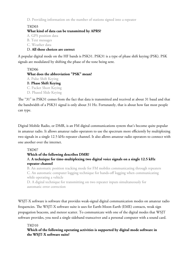D. Providing information on the number of stations signed into a repeater

# T8D03

# **What kind of data can be transmitted by APRS?**

A. GPS position data

- B. Text messages
- C. Weather data

# D. **All these choices are correct**

A popular digital mode on the HF bands is PSK31. PSK31 is a type of phase shift keying (PSK). PSK signals are modulated by shifting the phase of the tone being sent.

## T8D06 **What does the abbreviation "PSK" mean?** A. Pulse Shift Keying B. **Phase Shift Keying** C. Packet Short Keying D. Phased Slide Keying

The "31" in PSK31 comes from the fact that data is transmitted and received at about 31 baud and that the bandwidth of a PSK31 signal is only about 31 Hz. Fortunately, that is about how fast most people can type.

Digital Mobile Radio, or DMR, is an FM digital communications system that's become quite popular in amateur radio. It allows amateur radio operators to use the spectrum more efficiently by multiplexing two signals in a single 12.5 kHz repeater channel. It also allows amateur radio operators to connect with one another over the internet.

# T8D07

## **Which of the following describes DMR?** A. **A technique for time-multiplexing two digital voice signals on a single 12.5 kHz repeater channel**

B. An automatic position tracking mode for FM mobiles communicating through repeaters C. An automatic computer logging technique for hands-off logging when communicating while operating a vehicle

D. A digital technique for transmitting on two repeater inputs simultaneously for automatic error correction

WSJT-X software is software that provides weak-signal digital communication modes on amateur radio frequencies. The WSJT-X software suite is uses for Earth-Moon-Earth (EME) contacts, weak sign propagation beacons, and meteor scatter. To communicate with one of the digital modes that WSJT software provides, you need a single sideband transceiver and a personal computer with a sound card.

# T8D10

**Which of the following operating activities is supported by digital mode software in the WSJT-X software suite?**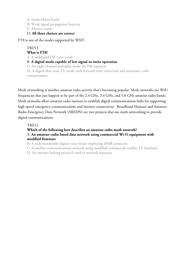- A. Earth-Moon-Earth
- B. Weak signal propagation beacons
- C. Meteor scatter

# D. **All these choices are correct**

FT8 is one of the modes supported by WSJT.

# T8D13

# **What is FT8?**

A. A wideband FM voice mode

#### B. **A digital mode capable of low signal-to-noise operation**

C. An eight channel multiplex mode for FM repeaters

D. A digital slow-scan TV mode with forward error correction and automatic color compensation

Mesh networking is another amateur radio activity that's becoming popular. Mesh networks use WiFi frequencies that just happen to be part of the 2.4 GHz, 3.4 GHz, and 5.8 GHz amateur radio bands. Mesh networks allow amateur radio stations to establish digital communications links for supporting high-speed emergency communications and internet connectivity. Broadband-Hamnet and Amateur Radio Emergency Data Network (AREDN) are two projects that use mesh networking to provide digital communications.

### T8D12

## **Which of the following best describes an amateur radio mesh network?** A. **An amateur-radio based data network using commercial Wi-Fi equipment with modified firmware**

B. A wide-bandwidth digital voice mode employing DMR protocols

C. A satellite communications network using modified commercial satellite TV hardware

D. An internet linking protocol used to network repeaters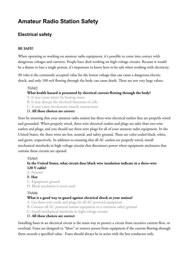# **Amateur Radio Station Safety**

# **Electrical safety**

### **BE SAFE!**

When operating or working on amateur radio equipment, it's possible to come into contact with dangerous voltages and currents. People have died working on high-voltage circuits. Because it would be a shame to lose a single person, it's important to know how to be safe when working with electricity.

30 volts is the commonly accepted value for the lowest voltage that can cause a dangerous electric shock, and only 100 mA flowing through the body can cause death. These are not very large values.

#### T0A02

#### **What health hazard is presented by electrical current flowing through the body?**

A. It may cause injury by heating tissue

B. It may disrupt the electrical functions of cells

C. It may cause involuntary muscle contractions

D. **All these choices are correct**

Start by ensuring that your amateur radio station has three-wire electrical outlets that are properly wired and grounded. When properly wired, three-wire electrical outlets and plugs are safer than two-wire outlets and plugs, and you should use three-wire plugs for all of your amateur radio equipment. In the United States, the three wires are hot, neutral, and safety ground, These are color-coded black, white, and green, respectively. In addition to ensuring that all AC outlets are properly wired, install mechanical interlocks in high-voltage circuits that disconnect power when equipment enclosures that contain those circuits are opened.

#### T0A03

### **In the United States, what circuit does black wire insulation indicate in a three-wire 120 V cable?**

A. Neutral B. **Hot** C. Equipment ground D. Black insulation is never used

#### T0A06

#### **What is a good way to guard against electrical shock at your station?**

A. Use three-wire cords and plugs for all AC powered equipment

B. Connect all AC powered station equipment to a common safety ground

C. Install mechanical interlocks in high-voltage circuits

#### D. **All these choices are correct**

Installing fuses in an electrical circuit is the main way to protect a circuit from excessive current flow, or overload. Fuses are designed to "blow" or remove power from equipment if the current flowing through them exceeds a specified value. Fuses should always be in series with the hot conductor only.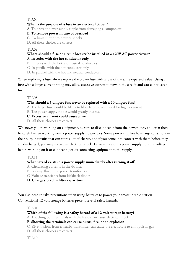#### T0A04

## **What is the purpose of a fuse in an electrical circuit?**

A. To prevent power supply ripple from damaging a component

#### B. **To remove power in case of overload**

C. To limit current to prevent shocks

D. All these choices are correct

#### T0A08

# **Where should a fuse or circuit breaker be installed in a 120V AC power circuit?** A. **In series with the hot conductor only**

B. In series with the hot and neutral conductors

C. In parallel with the hot conductor only

D. In parallel with the hot and neutral conductors

When replacing a fuse, always replace the blown fuse with a fuse of the same type and value. Using a fuse with a larger current rating may allow excessive current to flow in the circuit and cause it to catch fire.

#### T0A05

# **Why should a 5-ampere fuse never be replaced with a 20-ampere fuse?**

A. The larger fuse would be likely to blow because it is rated for higher current

B. The power supply ripple would greatly increase

C. **Excessive current could cause a fire**

D. All these choices are correct

Whenever you're working on equipment, be sure to disconnect it from the power lines, and even then be careful when working near a power supply's capacitors. Some power supplies have large capacitors in their output circuits that can store a lot of charge, and if you come into contact with them before they are discharged, you may receive an electrical shock. I always measure a power supply's output voltage before working on it or connecting or disconnecting equipment to the supply.

#### T0A11

# **What hazard exists in a power supply immediately after turning it off?**

A. Circulating currents in the dc filter

B. Leakage flux in the power transformer

C. Voltage transients from kickback diodes

#### D. **Charge stored in filter capacitors**

You also need to take precautions when using batteries to power your amateur radio station. Conventional 12-volt storage batteries present several safety hazards.

#### T0A01

#### **Which of the following is a safety hazard of a 12-volt storage battery?**

A. Touching both terminals with the hands can cause electrical shock

# B. **Shorting the terminals can cause burns, fire, or an explosion**

C. RF emissions from a nearby transmitter can cause the electrolyte to emit poison gas

D. All these choices are correct

#### T0A10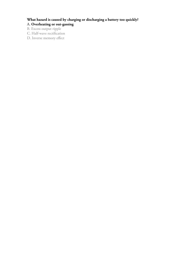# **What hazard is caused by charging or discharging a battery too quickly?**

# A. **Overheating or out-gassing**

- B. Excess output ripple
- C. Half-wave rectification
- D. Inverse memory effect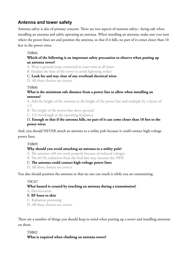# **Antenna and tower safety**

Antenna safety is also of primary concern. There are two aspects of antenna safety—being safe when installing an antenna and safely operating an antenna. When installing an antenna, make sure you note where the power lines are and position the antenna, so that if it falls, no part of it comes closer than 10 feet to the power wires.

#### T0B04

**Which of the following is an important safety precaution to observe when putting up an antenna tower?**

A. Wear a ground strap connected to your wrist at all times

B. Insulate the base of the tower to avoid lightning strikes

C. **Look for and stay clear of any overhead electrical wires**

D. All these choices are correct

#### T0B06

### **What is the minimum safe distance from a power line to allow when installing an antenna?**

A. Add the height of the antenna to the height of the power line and multiply by a factor of 1.5

B. The height of the power line above ground

C. 1/2 wavelength at the operating frequency

#### D. **Enough so that if the antenna falls, no part of it can come closer than 10 feet to the power wires**

And, you should NEVER attach an antenna to a utility pole because it could contact high-voltage power lines.

# T0B09

# **Why should you avoid attaching an antenna to a utility pole?**

- A. The antenna will not work properly because of induced voltages
- B. The 60 Hz radiations from the feed line may increase the SWR

#### C. **The antenna could contact high-voltage power lines**

D. All these choices are correct

You also should position the antenna so that no one can touch it while you are transmitting.

#### T0C07

# **What hazard is created by touching an antenna during a transmission?**

A. Electrocution

#### B. **RF burn to skin**

- C. Radiation poisoning
- D. All these choices are correct

There are a number of things you should keep in mind when putting up a tower and installing antennas on them.

# T0B02 **What is required when climbing an antenna tower?**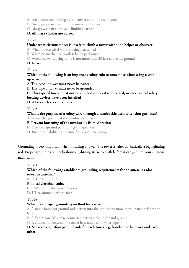A. Have sufficient training on safe tower climbing techniques

B. Use appropriate tie-off to the tower at all times

C. Always wear an approved climbing harness

### D. **All these choices are correct**

### T0B03

### **Under what circumstances is it safe to climb a tower without a helper or observer?**

A. When no electrical work is being performed

B. When no mechanical work is being performed

C. When the work being done is not more than 20 feet above the ground

# D. **Never**

# T0B07

**Which of the following is an important safety rule to remember when using a crankup tower?**

A. This type of tower must never be painted

B. This type of tower must never be grounded

#### C. **This type of tower must not be climbed unless it is retracted, or mechanical safety locking devices have been installed**

D. All these choices are correct

### T0B05

# **What is the purpose of a safety wire through a turnbuckle used to tension guy lines?**

A. Secure the guy line if the turnbuckle breaks

### B. **Prevent loosening of the turnbuckle from vibration**

C. Provide a ground path for lightning strikes

D. Provide an ability to measure for proper tensioning

Grounding is very important when installing a tower. The tower is, after all, basically a big lightning rod. Proper grounding will help shunt a lightning strike to earth before it can get into your amateur radio station.

# T0B11

# **Which of the following establishes grounding requirements for an amateur radio tower or antenna?**

# A. FCC Part 97 rules

#### B. **Local electrical codes**

C. FAA tower lighting regulations

D. UL recommended practices

#### T0B08

# **Which is a proper grounding method for a tower?**

A. A single four-foot ground rod, driven into the ground no more than 12 inches from the base

B. A ferrite-core RF choke connected between the tower and ground

C. A connection between the tower base and a cold water pipe

### D. **Separate eight-foot ground rods for each tower leg, bonded to the tower and each other**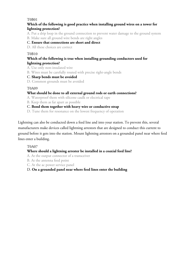#### T0B01

## **Which of the following is good practice when installing ground wires on a tower for lightning protection?**

A. Put a drip loop in the ground connection to prevent water damage to the ground system B. Make sure all ground wire bends are right angles

#### C. **Ensure that connections are short and direct**

D. All these choices are correct

## T0B10

## **Which of the following is true when installing grounding conductors used for lightning protection?**

A. Use only non-insulated wire

B. Wires must be carefully routed with precise right-angle bends

C. **Sharp bends must be avoided**

D. Common grounds must be avoided

## T0A09

## **What should be done to all external ground rods or earth connections?**

A. Waterproof them with silicone caulk or electrical tape

B. Keep them as far apart as possible

C. **Bond them together with heavy wire or conductive strap**

D. Tune them for resonance on the lowest frequency of operation

Lightning can also be conducted down a feed line and into your station. To prevent this, several manufacturers make devices called lightning arrestors that are designed to conduct this current to ground before it gets into the station. Mount lightning arrestors on a grounded panel near where feed lines enter a building.

#### T0A07

## **Where should a lightning arrester be installed in a coaxial feed line?**

A. At the output connector of a transceiver

B. At the antenna feed point

C. At the ac power service panel

D. **On a grounded panel near where feed lines enter the building**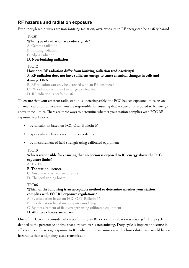## **RF hazards and radiation exposure**

Even though radio waves are non-ionizing radiation, over-exposure to RF energy can be a safety hazard.

#### T0C01

#### **What type of radiation are radio signals?**

- A. Gamma radiation
- B. Ionizing radiation
- C. Alpha radiation

## D. **Non-ionizing radiation**

#### T0C12

## **How does RF radiation differ from ionizing radiation (radioactivity)?** A. **RF radiation does not have sufficient energy to cause chemical changes in cells and damage DNA**

- B. RF radiation can only be detected with an RF dosimeter
- C. RF radiation is limited in range to a few feet
- D. RF radiation is perfectly safe

To ensure that your amateur radio station is operating safely, the FCC has set exposure limits. As an amateur radio station licensee, you are responsible for ensuring that no person is exposed to RF energy above these limits. There are three ways to determine whether your station complies with FCC RF exposure regulations:

- By calculation based on FCC OET Bulletin 65
- By calculation based on computer modeling
- By measurement of field strength using calibrated equipment

#### T0C13

## **Who is responsible for ensuring that no person is exposed to RF energy above the FCC exposure limits?**

A. The FCC

#### B. **The station licensee**

C. Anyone who is near an antenna

D. The local zoning board

#### T0C06

## **Which of the following is an acceptable method to determine whether your station complies with FCC RF exposure regulations?**

- A. By calculation based on FCC OET Bulletin 65
- B. By calculation based on computer modeling
- C. By measurement of field strength using calibrated equipment

#### D. **All these choices are correct**

One of the factors to consider when performing an RF exposure evaluation is *duty cycle.* Duty cycle is defined as the percentage of time that a transmitter is transmitting. Duty cycle is important because it affects a person's average exposure to RF radiation. A transmission with a lower duty cycle would be less hazardous than a high duty cycle transmission.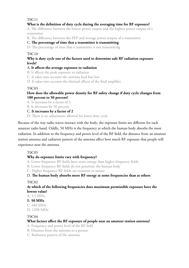#### T0C11

#### **What is the definition of duty cycle during the averaging time for RF exposure?**

A. The difference between the lowest power output and the highest power output of a transmitter

B. The difference between the PEP and average power output of a transmitter

#### C. **The percentage of time that a transmitter is transmitting**

D. The percentage of time that a transmitter is not transmitting

#### T0C10

#### **Why is duty cycle one of the factors used to determine safe RF radiation exposure levels?**

#### A. **It affects the average exposure to radiation**

B. It affects the peak exposure to radiation

C. It takes into account the antenna feed line loss

D. It takes into account the thermal effects of the final amplifier

#### T0C03

#### **How does the allowable power density for RF safety change if duty cycle changes from 100 percent to 50 percent?**

A. It increases by a factor of 3

B. It decreases by 50 percent

C. **It increases by a factor of 2**

D. There is no adjustment allowed for lower duty cycle

Because of the way radio waves interact with the body, the exposure limits are different for each amateur radio band. Oddly, 50 MHz is the frequency at which the human body absorbs the most radiation. In addition to the frequency and power level of the RF field, the distance from an amateur station antenna and radiation pattern of the antenna affect how much RF exposure that people will experience near the antenna.

#### T0C05

#### **Why do exposure limits vary with frequency?**

A. Lower frequency RF fields have more energy than higher frequency fields

B. Lower frequency RF fields do not penetrate the human body

C. Higher frequency RF fields are transient in nature

#### D. **The human body absorbs more RF energy at some frequencies than at others**

#### T0C02

**At which of the following frequencies does maximum permissible exposure have the lowest value?**

A. 3.5 MHz

#### B. **50 MHz**

C. 440 MHz D. 1296 MHz

#### T0C04

#### **What factors affect the RF exposure of people near an amateur station antenna?**

A. Frequency and power level of the RF field

B. Distance from the antenna to a person

C. Radiation pattern of the antenna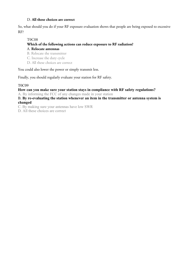#### D. **All these choices are correct**

So, what should you do if your RF exposure evaluation shows that people are being exposed to excessive RF?

## T0C08 **Which of the following actions can reduce exposure to RF radiation?** A. **Relocate antennas**

B. Relocate the transmitter

C. Increase the duty cycle

D. All these choices are correct

You could also lower the power or simply transmit less.

Finally, you should regularly evaluate your station for RF safety.

#### T0C09

**How can you make sure your station stays in compliance with RF safety regulations?**

A. By informing the FCC of any changes made in your station

B. **By re-evaluating the station whenever an item in the transmitter or antenna system is changed**

C. By making sure your antennas have low SWR

D. All these choices are correct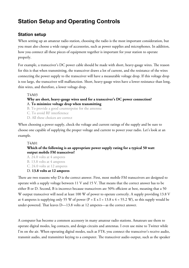# **Station Setup and Operating Controls**

## **Station setup**

When setting up an amateur radio station, choosing the radio is the most important consideration, but you must also choose a wide range of accessories, such as power supplies and microphones. In addition, how you connect all these pieces of equipment together is important for your station to operate properly.

For example, a transceiver's DC power cable should be made with short, heavy-gauge wires. The reason for this is that when transmitting, the transceiver draws a lot of current, and the resistance of the wires connecting the power supply to the transceiver will have a measurable voltage drop. If this voltage drop is too large, the transceiver will malfunction. Short, heavy-gauge wires have a lower resistance than long, thin wires, and therefore, a lower voltage drop.

## T4A03

## **Why are short, heavy-gauge wires used for a transceiver's DC power connection?** A. **To minimize voltage drop when transmitting**

B. To provide a good counterpoise for the antenna

C. To avoid RF interference

D. All these choices are correct

When choosing a power supply, check the voltage and current ratings of the supply and be sure to choose one capable of supplying the proper voltage and current to power your radio. Let's look at an example.

#### T4A01

## **Which of the following is an appropriate power supply rating for a typical 50 watt output mobile FM transceiver?**

A. 24.0 volts at 4 amperes

- B. 13.8 volts at 4 amperes
- C. 24.0 volts at 12 amperes

#### D. **13.8 volts at 12 amperes**

There are two reasons why D is the correct answer. First, most mobile FM transceivers are designed to operate with a supply voltage between 11 V and 15 V. That means that the correct answer has to be either B or D. Second, B is incorrect because transceivers are 50% efficient at best, meaning that a 50 W output transceiver will need at least 100 W of power to operate correctly. A supply providing 13.8 V at 4 amperes is supplying only 55 W of power ( $P = Ex I = 13.8$  x 4 = 55.2 W), so this supply would be under-powered. That leaves D—13.8 volts at 12 amperes—as the correct answer.

A computer has become a common accessory in many amateur radio stations. Amateurs use them to operate digital modes, log contacts, and design circuits and antennas. I even use mine to Twitter while I'm on the air. When operating digital modes, such as FT8, you connect the transceiver's receive audio, transmit audio, and transmitter keying to a computer. The transceiver audio output, such as the speaker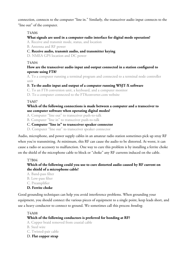connection, connects to the computer "line in." Similarly, the transceiver audio input connects to the "line out" of the computer.

## T4A06

## **What signals are used in a computer-radio interface for digital mode operation?**

A. Receive and transmit mode, status, and location

B. Antenna and RF power

#### C. **Receive audio, transmit audio, and transmitter keying**

D. NMEA GPS location and DC power

#### T4A04

#### **How are the transceiver audio input and output connected in a station configured to operate using FT8?**

A. To a computer running a terminal program and connected to a terminal node controller unit

#### B. **To the audio input and output of a computer running WSJT-X software**

C. To an FT8 conversion unit, a keyboard, and a computer monitor

D. To a computer connected to the FT8converter.com website

#### T4A07

#### **Which of the following connections is made between a computer and a transceiver to use computer software when operating digital modes?**

A. Computer "line out" to transceiver push-to-talk

B. Computer "line in" to transceiver push-to-talk

#### C. **Computer "line in" to transceiver speaker connector**

D. Computer "line out" to transceiver speaker connector

Audio, microphone, and power supply cables in an amateur radio station sometimes pick up stray RF when you're transmitting. At minimum, this RF can cause the audio to be distorted. At worst, it can cause a radio or accessory to malfunction. One way to cure this problem is by installing a ferrite choke on the shield of the microphone cable to block or "choke" any RF currents induced on the cable.

#### T7B04

## **Which of the following could you use to cure distorted audio caused by RF current on the shield of a microphone cable?**

- A. Band-pass filter
- B. Low-pass filter
- C. Preamplifier

## **D. Ferrite choke**

Good grounding techniques can help you avoid interference problems. When grounding your equipment, you should connect the various pieces of equipment to a single point, keep leads short, and use a heavy conductor to connect to ground. We sometimes call this process *bonding*.

#### T4A08

## **Which of the following conductors is preferred for bonding at RF?**

A. Copper braid removed from coaxial cable

- B. Steel wire
- C. Twisted-pair cable
- D. **Flat copper strap**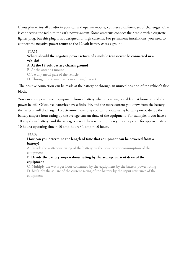If you plan to install a radio in your car and operate mobile, you have a different set of challenges. One is connecting the radio to the car's power system. Some amateurs connect their radio with a cigarette lighter plug, but this plug is not designed for high currents. For permanent installations, you need to connect the negative power return to the 12 volt battery chassis ground.

#### T4A11 **Where should the negative power return of a mobile transceiver be connected in a vehicle?** A. **At the 12 volt battery chassis ground** B. At the antenna mount

C. To any metal part of the vehicle

D. Through the transceiver's mounting bracket

 The positive connection can be made at the battery or through an unused position of the vehicle's fuse block.

You can also operate your equipment from a battery when operating portable or at home should the power be off. Of course, batteries have a finite life, and the more current you draw from the battery, the faster it will discharge. To determine how long you can operate using battery power, divide the battery ampere-hour rating by the average current draw of the equipment. For example, if you have a 10 amp-hour battery, and the average current draw is 1 amp, then you can operate for approximately 10 hours: operating time = 10 amp-hours / 1 amp = 10 hours.

#### T4A09

#### **How can you determine the length of time that equipment can be powered from a battery?**

A. Divide the watt-hour rating of the battery by the peak power consumption of the equipment

#### B. **Divide the battery ampere-hour rating by the average current draw of the equipment**

C. Multiply the watts per hour consumed by the equipment by the battery power rating D. Multiply the square of the current rating of the battery by the input resistance of the equipment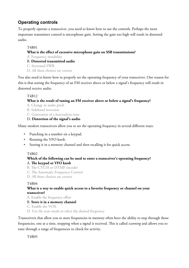## **Operating controls**

To properly operate a transceiver, you need to know how to use the controls. Perhaps the most important transmitter control is microphone gain. Setting the gain too high will result in distorted audio.

## T4B01

## **What is the effect of excessive microphone gain on SSB transmissions?**

A. Frequency instability

## B. **Distorted transmitted audio**

- C. Increased SWR
- D. All these choices are correct

You also need to know how to properly set the operating frequency of your transceiver. One reason for this is that setting the frequency of an FM receiver above or below a signal's frequency will result in distorted receive audio.

## T4B12

## **What is the result of tuning an FM receiver above or below a signal's frequency?**

- A. Change in audio pitch
- B. Sideband inversion
- C. Generation of a heterodyne tone

## D. **Distortion of the signal's audio**

Many modern transceivers allow you to set the operating frequency in several different ways:

- Punching in a number on a keypad.
- Rotating the VFO knob.
- Storing it in a memory channel and then recalling it for quick access.

## T4B02

## **Which of the following can be used to enter a transceiver's operating frequency?** A. **The keypad or VFO knob**

- B. The CTCSS or DTMF encoder
- C. The Automatic Frequency Control
- D. All these choices are correct

## T4B04

## **What is a way to enable quick access to a favorite frequency or channel on your transceiver?**

A. Enable the frequency offset

## B. **Store it in a memory channel**

- C. Enable the VOX
- D. Use the scan mode to select the desired frequency

Transceivers that allow you to store frequencies in memory often have the ability to step through those frequencies, one at a time, stopping when a signal is received. This is called *scanning* and allows you to tune through a range of frequencies to check for activity.

T4B05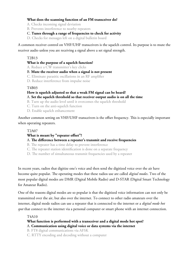#### **What does the scanning function of an FM transceiver do?**

A. Checks incoming signal deviation

B. Prevents interference to nearby repeaters

#### C. **Tunes through a range of frequencies to check for activity**

D. Checks for messages left on a digital bulletin board

A common receiver control on VHF/UHF transceivers is the squelch control. Its purpose is to mute the receiver audio unless you are receiving a signal above a set signal strength.

#### T2B13

#### **What is the purpose of a squelch function?**

A. Reduce a CW transmitter's key clicks

B. **Mute the receiver audio when a signal is not present**

- C. Eliminate parasitic oscillations in an RF amplifier
- D. Reduce interference from impulse noise

#### T4B03

## **How is squelch adjusted so that a weak FM signal can be heard?** A. **Set the squelch threshold so that receiver output audio is on all the time**

B. Turn up the audio level until it overcomes the squelch threshold

- C. Turn on the anti-squelch function
- D. Enable squelch enhancement

Another common setting on VHF/UHF transceivers is the offset frequency. This is especially important when operating repeaters.

#### T2A07

#### **What is meant by "repeater offset"?**

#### A. **The difference between a repeater's transmit and receive frequencies**

B. The repeater has a time delay to prevent interference

- C. The repeater station identification is done on a separate frequency
- D. The number of simultaneous transmit frequencies used by a repeater

In recent years, radios that digitize one's voice and then send the digitized voice over the air have become quite popular. The operating modes that these radios use are called *digital modes*. Two of the most popular digital modes are DMR (Digital Mobile Radio) and D-STAR (Digital Smart Technology for Amateur Radio).

One of the reasons digital modes are so popular is that the digitized voice information can not only be transmitted over the air, but also over the internet. To connect to other radio amateurs over the internet, digital mode radios can use a repeater that is connected to the internet or a *digital mode hot spot* that connect to the internet via a personal computer or smart phone with an internet connection.

#### T4A10

## **What function is performed with a transceiver and a digital mode hot spot?** A. **Communication using digital voice or data systems via the internet**

B. FT8 digital communications via AFSK

C. RTTY encoding and decoding without a computer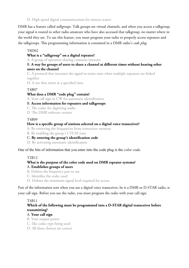D. High-speed digital communications for meteor scatter

DMR has a feature called *talkgroups*. Talk groups are virtual channels, and when you access a talkgroup, your signal is routed to other radio amateurs who have also accessed that talkgroup, no matter where in the world they are. To use this feature, you must program your radio to properly access repeaters and the talkgroups. This programming information is contained in a DMR radio's *code plug*.

## T8D02

#### **What is a "talkgroup" on a digital repeater?**

A. A group of operators sharing common interests

## B. **A way for groups of users to share a channel at different times without hearing other users on the channel**

C. A protocol that increases the signal-to-noise ratio when multiple repeaters are linked together

D. A net that meets at a specified time

## T4B07

## **What does a DMR "code plug" contain?**

A. Your call sign in CW for automatic identification

## B. **Access information for repeaters and talkgroups**

- C. The codec for digitizing audio
- D. The DMR software version

#### T4B09

## **How is a specific group of stations selected on a digital voice transceiver?**

A. By retrieving the frequencies from transceiver memory

B. By enabling the group's CTCSS tone

#### C. **By entering the group's identification code**

D. By activating automatic identification

One of the bits of information that you enter into the code plug is the *color code*.

## T2B12

#### **What is the purpose of the color code used on DMR repeater systems?** A. **Establishes groups of users**

- B. Defines the frequency pair to use
- C. Identifies the codec used
- D. Defines the minimum signal level required for access

Part of the information sent when you use a digital voice transceiver, be it a DMR or D-STAR radio, is your call sign. Before you use the radio, you must program the radio with your call sign.

## T4B11

## **Which of the following must be programmed into a D-STAR digital transceiver before transmitting?**

## A. **Your call sign**

- B. Your output power
- C. The codec type being used
- D. All these choices are correct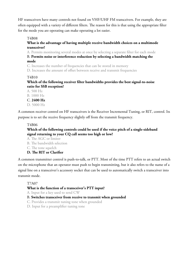HF transceivers have many controls not found on VHF/UHF FM transceivers. For example, they are often equipped with a variety of different filters. The reason for this is that using the appropriate filter for the mode you are operating can make operating a lot easier.

## T4B08

## **What is the advantage of having multiple receive bandwidth choices on a multimode transceiver?**

A. Permits monitoring several modes at once by selecting a separate filter for each mode

B. **Permits noise or interference reduction by selecting a bandwidth matching the mode**

C. Increases the number of frequencies that can be stored in memory

D. Increases the amount of offset between receive and transmit frequencies

## T4B10

## **Which of the following receiver filter bandwidths provides the best signal-to-noise ratio for SSB reception?**

A. 500 Hz B. 1000 Hz C. **2400 Hz** D. 5000 Hz

A common receiver control on HF transceivers is the Receiver Incremental Tuning, or RIT, control. Its purpose is to set the receive frequency slightly off from the transmit frequency.

#### T4B06

## **Which of the following controls could be used if the voice pitch of a single-sideband signal returning to your CQ call seems too high or low?**

A. The AGC or limiter

- B. The bandwidth selection
- C. The tone squelch

## **D. The RIT or Clarifier**

A common transmitter control is push-to-talk, or PTT. Most of the time PTT refers to an actual switch on the microphone that an operator must push to begin transmitting, but it also refers to the name of a signal line on a transceiver's accessory socket that can be used to automatically switch a transceiver into transmit mode.

#### T7A07

#### **What is the function of a transceiver's PTT input?**

A. Input for a key used to send CW

#### B. **Switches transceiver from receive to transmit when grounded**

- C. Provides a transmit tuning tone when grounded
- D. Input for a preamplifier tuning tone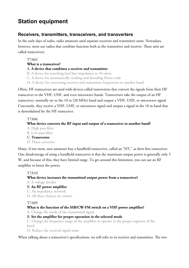# **Station equipment**

## **Receivers, transmitters, transceivers, and transverters**

In the early days of radio, radio amateurs used separate receivers and transmitter units. Nowadays, however, most use radios that combine function both as the transmitter and receiver. These unit are called transceivers.

T7A02

#### **What is a transceiver?**

#### A. **A device that combines a receiver and transmitter**

B. A device for matching feed line impedance to 50 ohms

C. A device for automatically sending and decoding Morse code

D. A device for converting receiver and transmitter frequencies to another band

Often, HF transceivers are used with devices called transverters that convert the signals from their HF transceiver to the VHF, UHF, and even microwave bands. Transverters take the output of an HF transceiver, normally set to the 10 m (28 MHz) band and output a VHF, UHF, or microwave signal. Conversely, they receive a VHF, UHF, or microwave signal and output a signal in the 10 m band that is demodulated by the HF transceiver.

#### T7A06

## **What device converts the RF input and output of a transceiver to another band?**

- A. High pass filter
- B. Low-pass filter
- C. **Transverter**
- D. Phase converter

Many, if not most, new amateurs buy a handheld transceiver, called an "HT," as their first transceiver. One disadvantage of using a handheld transceiver is that the maximum output power is generally only 5 W, and because of this, they have limited range. To get around this limitation, you can use an RF amplifier to boost the power.

#### T7A10

## **What device increases the transmitted output power from a transceiver?**

A. A voltage divider

#### B. **An RF power amplifier**

C. An impedance network

D. All these choices are correct

#### T7A09

## **What is the function of the SSB/CW-FM switch on a VHF power amplifier?**

A. Change the mode of the transmitted signal

#### B. **Set the amplifier for proper operation in the selected mode**

C. Change the frequency range of the amplifier to operate in the proper segment of the band

D. Reduce the received signal noise

When talking about a transceiver's specifications, we still refer to its receiver and transmitter. The two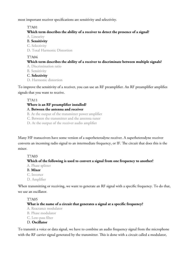most important receiver specifications are sensitivity and selectivity.

## T7A01

## **Which term describes the ability of a receiver to detect the presence of a signal?**

A. Linearity

B. **Sensitivity**

C. Selectivity

D. Total Harmonic Distortion

## T7A04

## **Which term describes the ability of a receiver to discriminate between multiple signals?**

A. Discrimination ratio

B. Sensitivity

## C. **Selectivity**

D. Harmonic distortion

To improve the sensitivity of a receiver, you can use an RF preamplifier. An RF preamplifier amplifies signals that you want to receive.

## T7A11

## **Where is an RF preamplifier installed?**

## A. **Between the antenna and receiver**

B. At the output of the transmitter power amplifier

C. Between the transmitter and the antenna tuner

D. At the output of the receiver audio amplifier

Many HF transceivers have some version of a superheterodyne receiver. A superheterodyne receiver converts an incoming radio signal to an intermediate frequency, or IF. The circuit that does this is the mixer.

## T7A03

## **Which of the following is used to convert a signal from one frequency to another?**

A. Phase splitter

#### B. **Mixer**

C. Inverter

D. Amplifier

When transmitting or receiving, we want to generate an RF signal with a specific frequency. To do that, we use an oscillator.

## T7A05

## **What is the name of a circuit that generates a signal at a specific frequency?**

A. Reactance modulator

B. Phase modulator

C. Low-pass filter

## D. **Oscillator**

To transmit a voice or data signal, we have to combine an audio frequency signal from the microphone with the RF carrier signal generated by the transmitter. This is done with a circuit called a modulator,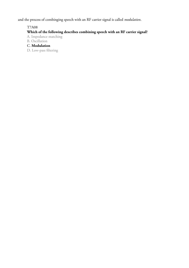and the process of combinging speech with an RF carrier signal is called *modulation*.

## T7A08

## **Which of the following describes combining speech with an RF carrier signal?**

- A. Impedance matching
- B. Oscillation

## C. **Modulation**

D. Low-pass filtering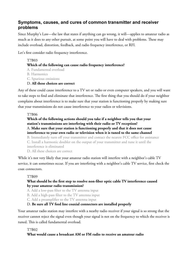## **Symptoms, causes, and cures of common transmitter and receiver problems**

Since Murphy's Law—the law that states if anything can go wrong, it will—applies to amateur radio as much as it does to any other pursuit, at some point you will have to deal with problems. These may include overload, distortion, feedback, and radio frequency interference, or RFI.

Let's first consider radio frequency interference.

## T7B03 **Which of the following can cause radio frequency interference?** A. Fundamental overload B. Harmonics C. Spurious emissions D. **All these choices are correct**

Any of these could cause interference to a TV set or radio or even computer speakers, and you will want to take steps to find and eliminate that interference. The first thing that you should do if your neighbor complains about interference is to make sure that your station is functioning properly by making sure that your transmissions do not cause interference to your radios or televisions.

## T7B06

## **Which of the following actions should you take if a neighbor tells you that your station's transmissions are interfering with their radio or TV reception?** A. **Make sure that your station is functioning properly and that it does not cause interference to your own radio or television when it is tuned to the same channel**

B. Immediately turn off your transmitter and contact the nearest FCC office for assistance C. Install a harmonic doubler on the output of your transmitter and tune it until the interference is eliminated D. All these choices are correct

While it's not very likely that your amateur radio station will interfere with a neighbor's cable TV service, it can sometimes occur. If you are interfering with a neighbor's cable TV service, first check the coax connectors.

## T7B09

## **What should be the first step to resolve non-fiber optic cable TV interference caused by your amateur radio transmission?**

A. Add a low-pass filter to the TV antenna input

B. Add a high-pass filter to the TV antenna input

C. Add a preamplifier to the TV antenna input

## D. **Be sure all TV feed line coaxial connectors are installed properly**

Your amateur radio station may interfere with a nearby radio receiver if your signal is so strong that the receiver cannot reject the signal even though your signal is not on the frequency to which the receiver is tuned. This is called fundamental overload.

## T7B02

**What would cause a broadcast AM or FM radio to receive an amateur radio**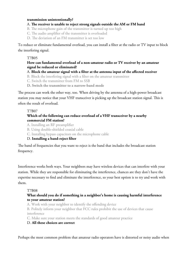#### **transmission unintentionally?**

#### A. **The receiver is unable to reject strong signals outside the AM or FM band**

B. The microphone gain of the transmitter is turned up too high

C. The audio amplifier of the transmitter is overloaded

D. The deviation of an FM transmitter is set too low

To reduce or eliminate fundamental overload, you can install a filter at the radio or TV input to block the interfering signal.

#### T7B05

#### **How can fundamental overload of a non-amateur radio or TV receiver by an amateur signal be reduced or eliminated?**

A. **Block the amateur signal with a filter at the antenna input of the affected receiver**

B. Block the interfering signal with a filter on the amateur transmitter

C. Switch the transmitter from FM to SSB

**D. Switch the transmitter to a narrow-band mode**

The process can work the other way, too. When driving by the antenna of a high-power broadcast station you may notice that your VHF transceiver is picking up the broadcast station signal. This is often the result of overload.

#### T7B07

#### **Which of the following can reduce overload of a VHF transceiver by a nearby commercial FM station?**

A. Installing an RF preamplifier

B. Using double-shielded coaxial cable

C. Installing bypass capacitors on the microphone cable

#### D. **Installing a band-reject filter**

The band of frequencies that you want to reject is the band that includes the broadcast station frequency.

Interference works both ways. Your neighbors may have wireless devices that can interfere with your station. While they are responsible for eliminating the interference, chances are they don't have the expertise necessary to find and eliminate the interference, so your best option is to try and work with them.

#### T7B08

## **What should you do if something in a neighbor's home is causing harmful interference to your amateur station?**

A. Work with your neighbor to identify the offending device

B. Politely inform your neighbor that FCC rules prohibit the use of devices that cause interference

C. Make sure your station meets the standards of good amateur practice

#### D. **All these choices are correct**

Perhaps the most common problem that amateur radio operators have is distorted or noisy audio when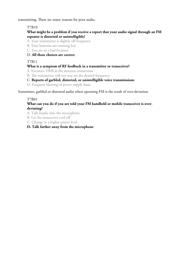transmitting. There are many reasons for poor audio.

## T7B10

#### **What might be a problem if you receive a report that your audio signal through an FM repeater is distorted or unintelligible?**

A. Your transmitter is slightly off frequency

- B. Your batteries are running low
- C. You are in a bad location

#### D. **All these choices are correct**

## T7B11

#### **What is a symptom of RF feedback in a transmitter or transceiver?**

A. Excessive SWR at the antenna connection

B. The transmitter will not stay on the desired frequency

#### C. **Reports of garbled, distorted, or unintelligible voice transmissions**

D. Frequent blowing of power supply fuses

Sometimes, garbled or distorted audio when operating FM is the result of over-deviation.

#### T7B01

#### **What can you do if you are told your FM handheld or mobile transceiver is overdeviating?**

A. Talk louder into the microphone

B. Let the transceiver cool off

C. Change to a higher power level

**D. Talk farther away from the microphone**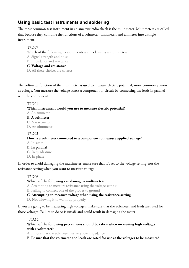## **Using basic test instruments and soldering**

The most common test instrument in an amateur radio shack is the multimeter. Multimeters are called that because they combine the functions of a voltmeter, ohmmeter, and ammeter into a single instrument.

## T7D07

Which of the following measurements are made using a multimeter?

A. Signal strength and noise

B. Impedance and reactance

#### C. **Voltage and resistance**

D. All these choices are correct

The voltmeter function of the multimeter is used to measure electric potential, more commonly known as voltage. You measure the voltage across a component or circuit by connecting the leads in parallel with the component.

#### T7D01

#### **Which instrument would you use to measure electric potential?**

A. An ammeter

#### B. **A voltmeter** C. A wavemeter D. An ohmmeter

## T7D02

## **How is a voltmeter connected to a component to measure applied voltage?**

A. In series

## B. **In parallel**

C. In quadrature D. In phase

In order to avoid damaging the multimeter, make sure that it's set to the voltage setting, not the resistance setting when you want to measure voltage.

#### T7D06

## **Which of the following can damage a multimeter?**

A. Attempting to measure resistance using the voltage setting

B. Failing to connect one of the probes to ground

## C. **Attempting to measure voltage when using the resistance setting**

D. Not allowing it to warm up properly

If you are going to be measuring high voltages, make sure that the voltmeter and leads are rated for those voltages. Failure to do so is unsafe and could result in damaging the meter.

#### T0A12

## **Which of the following precautions should be taken when measuring high voltages with a voltmeter?**

A. Ensure that the voltmeter has very low impedance

B. **Ensure that the voltmeter and leads are rated for use at the voltages to be measured**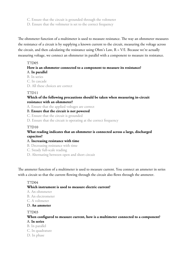- C. Ensure that the circuit is grounded through the voltmeter
- D. Ensure that the voltmeter is set to the correct frequency

The ohmmeter function of a multimeter is used to measure resistance. The way an ohmmeter measures the resistance of a circuit is by supplying a known current to the circuit, measuring the voltage across the circuit, and then calculating the resistance using Ohm's Law, R = V/I. Because we're actually measuring voltage, we connect an ohmmeter in parallel with a component to measure its resistance.

#### T7D05

#### **How is an ohmmeter connected to a component to measure its resistance?** A. **In parallel**

- B. In series
- C. In cascade
- D. All these choices are correct

#### T7D11

#### **Which of the following precautions should be taken when measuring in-circuit resistance with an ohmmeter?**

- A. Ensure that the applied voltages are correct
- B. **Ensure that the circuit is not powered**
- C. Ensure that the circuit is grounded
- D. Ensure that the circuit is operating at the correct frequency

#### T7D10

#### **What reading indicates that an ohmmeter is connected across a large, discharged capacitor?**

#### A. **Increasing resistance with time**

- B. Decreasing resistance with time
- C. Steady full-scale reading
- D. Alternating between open and short circuit

The ammeter function of a multimeter is used to measure current. You connect an ammeter in series with a circuit so that the current flowing through the circuit also flows through the ammeter.

#### T7D04

#### **Which instrument is used to measure electric current?**

- A. An ohmmeter
- B. An electrometer
- C. A voltmeter

#### D. **An ammeter**

#### T7D03

#### **When configured to measure current, how is a multimeter connected to a component?** A. **In series**

B. In parallel C. In quadrature D. In phase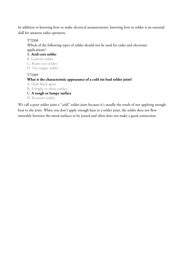In addition to knowing how to make electrical measurements, knowing how to solder is an essential skill for amateur radio operators.

T7D08

Which of the following types of solder should not be used for radio and electronic applications?

#### A. **Acid-core solder**

- B. Lead-tin solder
- C. Rosin-core solder
- D. Tin-copper solder

#### T7D09

#### **What is the characteristic appearance of a cold tin-lead solder joint?**

- A. Dark black spots
- B. A bright or shiny surface
- C. **A rough or lumpy surface**
- D. Excessive solder

We call a poor solder joint a "cold" solder joint because it's usually the result of not applying enough heat to the joint. When you don't apply enough heat to a solder joint, the solder does not flow smoothly between the metal surfaces to be joined and often does not make a good connection.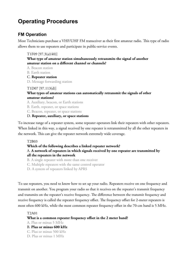# **Operating Procedures**

## **FM Operation**

Most Technicians purchase a VHF/UHF FM transceiver as their first amateur radio. This type of radio allows them to use repeaters and participate in public-service events.

T1F09 [97.3(a)(40)]

**What type of amateur station simultaneously retransmits the signal of another amateur station on a different channel or channels?**

A. Beacon station

B. Earth station

C. **Repeater station**

D. Message forwarding station

#### T1D07 [97.113(d)]

#### **What types of amateur stations can automatically retransmit the signals of other amateur stations?**

A. Auxiliary, beacon, or Earth stations

B. Earth, repeater, or space stations

C. Beacon, repeater, or space stations

D. **Repeater, auxiliary, or space stations**

To increase range of a repeater system, some repeater operators link their repeaters with other repeaters. When linked in this way, a signal received by one repeater is retransmitted by all the other repeaters in the network. This can give the repeater network extremely wide coverage.

T2B03

**Which of the following describes a linked repeater network?**

A. **A network of repeaters in which signals received by one repeater are transmitted by all the repeaters in the network**

B. A single repeater with more than one receiver

C. Multiple repeaters with the same control operator

D. A system of repeaters linked by APRS

To use repeaters, you need to know how to set up your radio. Repeaters receive on one frequency and transmit on another. You program your radio so that it receives on the repeater's transmit frequency and transmits on the repeater's receive frequency. The difference between the transmit frequency and receive frequency is called the repeater frequency offset. The frequency offset for 2-meter repeaters is most often 600 kHz, while the most common repeater frequency offset in the 70-cm band is 5 MHz.

T2A01

**What is a common repeater frequency offset in the 2 meter band?**

A. Plus or minus 5 MHz

B. **Plus or minus 600 kHz**

C. Plus or minus 500 kHz

D. Plus or minus 1 MHz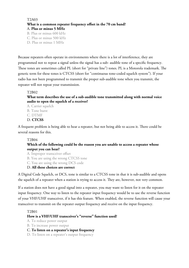## T2A03 **What is a common repeater frequency offset in the 70 cm band?** A. **Plus or minus 5 MHz**

B. Plus or minus 600 kHz

C. Plus or minus 500 kHz

D. Plus or minus 1 MHz

Because repeaters often operate in environments where there is a lot of interference, they are programmed not to repeat a signal unless the signal has a sub- audible tone of a specific frequency. These tones are sometimes called PL (short for "private line") tones. PL is a Motorola trademark. The generic term for these tones is CTCSS (short for "continuous tone-coded squelch system"). If your radio has not been programmed to transmit the proper sub-audible tone when you transmit, the repeater will not repeat your transmission.

## T2B02

## **What term describes the use of a sub-audible tone transmitted along with normal voice audio to open the squelch of a receiver?**

A. Carrier squelch B. Tone burst C. DTMF D. **CTCSS**

A frequent problem is being able to hear a repeater, but not being able to access it. There could be several reasons for this.

## T2B04

## **Which of the following could be the reason you are unable to access a repeater whose output you can hear?**

A. Improper transceiver offset

B. You are using the wrong CTCSS tone

C. You are using the wrong DCS code

#### D. **All these choices are correct**

A Digital Code Squelch, or DCS, tone is similar to a CTCSS tone in that it is sub-audible and opens the squelch of a repeater when a station is trying to access it. They are, however, not very common.

If a station does not have a good signal into a repeater, you may want to listen for it on the repeater input frequency. One way to listen to the repeater input frequency would be to use the reverse function of your VHF/UHF transceiver, if it has this feature. When enabled, the reverse function will cause your transceiver to transmit on the repeater output frequency and receive on the input frequency.

#### T2B01

## **How is a VHF/UHF transceiver's "reverse" function used?**

A. To reduce power output

B. To increase power output

C. **To listen on a repeater's input frequency**

D. To listen on a repeater's output frequency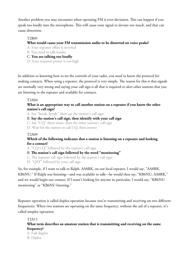Another problem you may encounter when operating FM is over-deviation. This can happen if you speak too loudly into the microphone. This will cause your signal to deviate too much, and that can cause distortion.

## T2B05

## **What would cause your FM transmission audio to be distorted on voice peaks?**

- A. Your repeater offset is inverted
- B. You need to talk louder

## C. **You are talking too loudly**

D. Your transmit power is too high

In addition to knowing how to set the controls of your radio, you need to know the protocol for making contacts. When using a repeater, the protocol is very simple. The reason for this is that signals are normally very strong and saying your call sign is all that is required to alert other stations that you are listening to the repeater and available for contacts.

## T2A04

## **What is an appropriate way to call another station on a repeater if you know the other station's call sign?**

A. Say "break, break," then say the station's call sign

B. **Say the station's call sign, then identify with your call sign**

C. Say "CQ" three times, then the other station's call sign

D. Wait for the station to call CQ, then answer

#### T2A09

## **Which of the following indicates that a station is listening on a repeater and looking for a contact?**

A. "CQ CQ" followed by the station's call sign

B. **The station's call sign followed by the word "monitoring"**

- C. The repeater call sign followed by the station's call sign
- D. "QSY" followed by your call sign

So, for example, if I want to talk to Ralph, AA8RK, on our local repeater, I would say, "AA8RK, KB6NU." If Ralph was listening—and was available to talk—he would then say, "KB6NU, AA8RK," and we would begin our contact. If I wasn't looking for anyone in particular, I would say, "KB6NU monitoring" or "KB6NU listening."

Repeater operation is called duplex operation because you're transmitting and receiving on two different frequencies. When two stations are operating on the same frequency, without the aid of a repeater, it's called simplex operation.

#### T2A11

## **What term describes an amateur station that is transmitting and receiving on the same frequency?**

A. Full duplex B. Diplex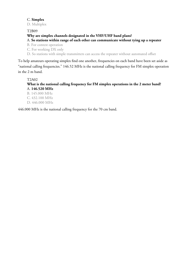## C. **Simplex**

D. Multiplex

T2B09

## **Why are simplex channels designated in the VHF/UHF band plans?**

## A. **So stations within range of each other can communicate without tying up a repeater**

B. For contest operation

C. For working DX only

D. So stations with simple transmitters can access the repeater without automated offset

To help amateurs operating simplex find one another, frequencies on each band have been set aside as "national calling frequencies." 146.52 MHz is the national calling frequency for FM simplex operation in the 2 m band.

T2A02

**What is the national calling frequency for FM simplex operations in the 2 meter band?** A. **146.520 MHz**

B. 145.000 MHz C. 432.100 MHz D. 446.000 MHz

446.000 MHz is the national calling frequency for the 70 cm band.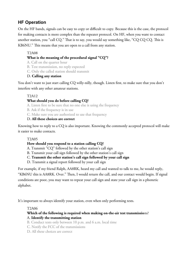## **HF Operation**

On the HF bands, signals can be easy to copy or difficult to copy. Because this is the case, the protocol for making contacts is more complex than the repeater protocol. On HF, when you want to contact another station, you "call CQ." That is to say, you would say something like, "CQ CQ CQ. This is KB6NU." This means that you are open to a call from any station.

## T2A08

## **What is the meaning of the procedural signal "CQ"?**

- A. Call on the quarter hour
- B. Test transmission, no reply expected
- C. Only the called station should transmit

## D. **Calling any station**

You don't want to just start calling CQ willy-nilly, though. Listen first, to make sure that you don't interfere with any other amateur stations.

## T2A12

## **What should you do before calling CQ?**

A. Listen first to be sure that no one else is using the frequency

B. Ask if the frequency is in use

C. Make sure you are authorized to use that frequency

## D. **All these choices are correct**

Knowing how to reply to a CQ is also important. Knowing the commonly accepted protocol will make it easier to make contacts.

## T2A05

## **How should you respond to a station calling CQ?**

A. Transmit "CQ" followed by the other station's call sign

B. Transmit your call sign followed by the other station's call sign

## C. **Transmit the other station's call sign followed by your call sign**

D. Transmit a signal report followed by your call sign

For example, if my friend Ralph, AA8RK, heard my call and wanted to talk to me, he would reply, "KB6NU this is AA8RK. Over." Then, I would return the call, and our contact would begin. If signal conditions are poor, you may want to repeat your call sign and state your call sign in a phonetic alphabet.

It's important to always identify your station, even when only performing tests.

## T2A06

## **Which of the following is required when making on-the-air test transmissio**ns? A. **Identify the transmitting station**

- B. Conduct tests only between 10 p.m. and 6 a.m. local time
- C. Notify the FCC of the transmissions
- D. All these choices are correct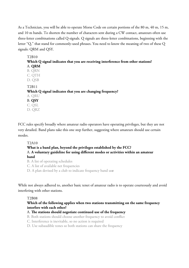As a Technician, you will be able to operate Morse Code on certain portions of the 80 m, 40 m, 15 m, and 10 m bands. To shorten the number of characters sent during a CW contact, amateurs often use three-letter combinations called Q-signals. Q signals are three-letter combinations, beginning with the letter "Q," that stand for commonly-used phrases. You need to know the meaning of two of these Q signals: QRM and QSY.

## T2B10 **Which Q signal indicates that you are receiving interference from other stations?** A. **QRM** B. QRN C. QTH D. QSB T2B11 **Which Q signal indicates that you are changing frequency?** A. QRU B. **QSY** C. QSL D. QRZ

FCC rules specify broadly where amateur radio operators have operating privileges, but they are not very detailed. Band plans take this one step further, suggesting where amateurs should use certain modes.

#### T2A10

## **What is a band plan, beyond the privileges established by the FCC?** A. **A voluntary guideline for using different modes or activities within an amateur band**

B. A list of operating schedules C. A list of available net frequencies D. A plan devised by a club to indicate frequency band us**e**

While not always adhered to, another basic tenet of amateur radio is to operate courteously and avoid interfering with other stations.

#### T2B08

#### **Which of the following applies when two stations transmitting on the same frequency interfere with each other?**

#### A. **The stations should negotiate continued use of the frequency**

- B. Both stations should choose another frequency to avoid conflict
- C. Interference is inevitable, so no action is required
- D. Use subaudible tones so both stations can share the frequency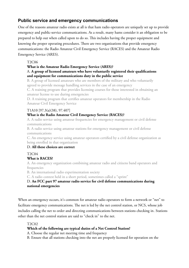## **Public service and emergency communications**

One of the reasons amateur radio exists at all is that ham radio operators are uniquely set up to provide emergency and public-service communications. As a result, many hams consider it an obligation to be prepared to help out when called upon to do so. This includes having the proper equipment and knowing the proper operating procedures. There are two organizations that provide emergency communications: the Radio Amateur Civil Emergency Service (RACES) and the Amateur Radio Emergency Service (ARES).

## T2C06

## **What is the Amateur Radio Emergency Service (ARES)?**

#### A. **A group of licensed amateurs who have voluntarily registered their qualifications and equipment for communications duty in the public service**

B. A group of licensed amateurs who are members of the military and who voluntarily agreed to provide message handling services in the case of an emergency

C. A training program that provides licensing courses for those interested in obtaining an amateur license to use during emergencies

D. A training program that certifies amateur operators for membership in the Radio Amateur Civil Emergency Service

## T1A10 [97.3(a)(38), 97.407]

## **What is the Radio Amateur Civil Emergency Service (RACES)?**

A. A radio service using amateur frequencies for emergency management or civil defense communications

B. A radio service using amateur stations for emergency management or civil defense communications

C. An emergency service using amateur operators certified by a civil defense organization as being enrolled in that organization

#### D. **All these choices are correct**

T2C04

#### **What is RACES?**

A. An emergency organization combining amateur radio and citizens band operators and frequencies

B. An international radio experimentation society

C. A radio contest held in a short period, sometimes called a "sprint"

## D. **An FCC part 97 amateur radio service for civil defense communications during national emergencies**

When an emergency occurs, it's common for amateur radio operators to form a network or "net" to facilitate emergency communications. The net is led by the net control station, or NCS, whose job includes calling the net to order and directing communications between stations checking in. Stations other than the net control station are said to "check in" to the net.

#### T2C02

#### **Which of the following are typical duties of a Net Control Station?**

A. Choose the regular net meeting time and frequency

B. Ensure that all stations checking into the net are properly licensed for operation on the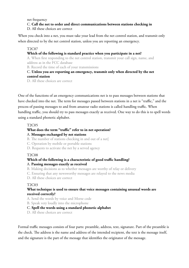net frequency

#### C. **Call the net to order and direct communications between stations checking in**

D. All these choices are correct

When you check into a net, you must take your lead from the net control station, and transmit only when directed to by the net control station, unless you are reporting an emergency.

## T2C07

#### **Which of the following is standard practice when you participate in a net?**

A. When first responding to the net control station, transmit your call sign, name, and address as in the FCC database

B. Record the time of each of your transmissions

## C. **Unless you are reporting an emergency, transmit only when directed by the net control station**

D. All these choices are correct

One of the functions of an emergency communications net is to pass messages between stations that have checked into the net. The term for messages passed between stations in a net is "traffic," and the process of passing messages to and from amateur radio stations is called handling traffic. When handling traffic, you should try to pass messages exactly as received. One way to do this is to spell words using a standard phonetic alphabet.

#### T2C05

## **What does the term "traffic" refer to in net operation?**

#### A. **Messages exchanged by net stations**

- B. The number of stations checking in and out of a net
- C. Operation by mobile or portable stations
- D. Requests to activate the net by a served agency

#### T2C08

#### **Which of the following is a characteristic of good traffic handling?** A. **Passing messages exactly as received**

- B. Making decisions as to whether messages are worthy of relay or delivery
- C. Ensuring that any newsworthy messages are relayed to the news media
- D. All these choices are correct

#### T2C03

#### **What technique is used to ensure that voice messages containing unusual words are received correctly?**

A. Send the words by voice and Morse code

B. Speak very loudly into the microphone

#### C. **Spell the words using a standard phonetic alphabet**

D. All these choices are correct

Formal traffic messages consists of four parts: preamble, address, text, signature. Part of the preamble is the check. The address is the name and address of the intended recipient, the text is the message itself, and the signature is the part of the message that identifies the originator of the message.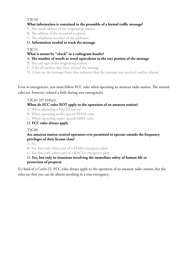## T2C10

## **What information is contained in the preamble of a formal traffic message?**

A. The email address of the originating station

B. The address of the intended recipient

C. The telephone number of the addressee

#### D. **Information needed to track the message**

#### T2C11

#### **What is meant by "check" in a radiogram header?**

## A. **The number of words or word equivalents in the text portion of the message**

B. The call sign of the originating station

C. A list of stations that have relayed the message

D. A box on the message form that indicates that the message was received and/or relayed

Even in emergencies, you must follow FCC rules when operating an amateur radio station. The normal rules are, however, relaxed a little during true emergencies.

## T2C01 [97.103(a)]

## **When do FCC rules NOT apply to the operation of an amateur station?**

A. When operating a RACES station

B. When operating under special FEMA rules

C. When operating under special ARES rules

#### D. **FCC rules always apply**

T2C09

#### **Are amateur station control operators ever permitted to operate outside the frequency privileges of their license class?**

A. No

B. Yes, but only when part of a FEMA emergency plan

C. Yes, but only when part of a RACES emergency plan

#### D. **Yes, but only in situations involving the immediate safety of human life or protection of property**

It's kind of a Catch-22. FCC rules always apply to the operation of an amateur radio station, but the rules say that you can do almost anything in a true emergency.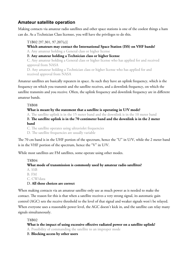## **Amateur satellite operation**

Making contacts via amateur radio satellites and other space stations is one of the coolest things a ham can do. As a Technician Class licensee, you will have the privileges to do this.

## T1B02 [97.301, 97.207(c)]

**Which amateurs may contact the International Space Station (ISS) on VHF bands?**

A. Any amateur holding a General class or higher license

B. **Any amateur holding a Technician class or higher license**

C. Any amateur holding a General class or higher license who has applied for and received approval from NASA

D. Any amateur holding a Technician class or higher license who has applied for and received approval from NASA

Amateur satellites are basically repeaters in space. As such they have an uplink frequency, which is the frequency on which you transmit and the satellite receives, and a downlink frequency, on which the satellite transmits and you receive. Often, the uplink frequency and downlink frequency are in different amateur bands.

T8B08

## **What is meant by the statement that a satellite is operating in U/V mode?**

A. The satellite uplink is in the 15 meter band and the downlink is in the 10 meter band

B. **The satellite uplink is in the 70 centimeter band and the downlink is in the 2 meter band**

C. The satellite operates using ultraviolet frequencies

D. The satellite frequencies are usually variable

The 70 cm band is in the UHF portion of the spectrum, hence the "U" in U/V, while the 2 meter band is in the VHF portion of the spectrum, hence the "V" in U/V.

While most satellites are FM satellites, some operate using other modes.

T8B04 **What mode of transmission is commonly used by amateur radio satellites?** A. SSB B. FM C. CW/data D. **All these choices are correct**

When making contacts via an amateur satellite only use as much power as is needed to make the contact. The reason for this is that when a satellite receives a very strong signal, its automatic gain control (AGC) sets the receive threshold to the level of that signal and weaker signals won't be relayed. When everyone uses a reasonable power level, the AGC doesn't kick in, and the satellite can relay many signals simultaneously.

T8B02

**What is the impact of using excessive effective radiated power on a satellite uplink?** A. Possibility of commanding the satellite to an improper mode

B. **Blocking access by other users**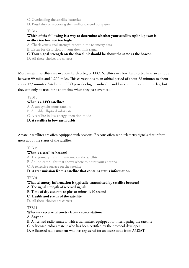C. Overloading the satellite batteries

D. Possibility of rebooting the satellite control computer

#### T8B12

#### **Which of the following is a way to determine whether your satellite uplink power is neither too low nor too high?**

A. Check your signal strength report in the telemetry data

B. Listen for distortion on your downlink signal

#### C. **Your signal strength on the downlink should be about the same as the beacon**

D. All these choices are correct

Most amateur satellites are in a low Earth orbit, or LEO. Satellites in a low Earth orbit have an altitude between 99 miles and 1,200 miles. This corresponds to an orbital period of about 88 minutes to about about 127 minutes. Satellites in LEO provides high bandwidth and low communication time lag, but they can only be used for a short time when they pass overhead.

T8B10

#### **What is a LEO satellite?**

A. A sun synchronous satellite

B. A highly elliptical orbit satellite

C. A satellite in low energy operation mode

D. **A satellite in low earth orbit**

Amateur satellites are often equipped with beacons. Beacons often send telemetry signals that inform users about the status of the satellite.

#### T8B05

#### **What is a satellite beacon?**

A. The primary transmit antenna on the satellite

B. An indicator light that shows where to point your antenna

C. A reflective surface on the satellite

#### D. **A transmission from a satellite that contains status information**

#### T8B01

#### **What telemetry information is typically transmitted by satellite beacons?**

A. The signal strength of received signals

B. Time of day accurate to plus or minus 1/10 second

#### C. **Health and status of the satellite**

D. All these choices are correct

#### T8B11

#### **Who may receive telemetry from a space station?**

#### A. **Anyone**

- B. A licensed radio amateur with a transmitter equipped for interrogating the satellite
- C. A licensed radio amateur who has been certified by the protocol developer
- D. A licensed radio amateur who has registered for an access code from AMSAT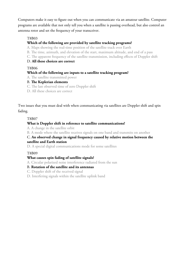Computers make it easy to figure out when you can communicate via an amateur satellite. Computer programs are available that not only tell you when a satellite is passing overhead, but also control an antenna rotor and set the frequency of your transceiver.

## T8B03

## **Which of the following are provided by satellite tracking programs?**

A. Maps showing the real-time position of the satellite track over Earth

B. The time, azimuth, and elevation of the start, maximum altitude, and end of a pass

C. The apparent frequency of the satellite transmission, including effects of Doppler shift

#### D. **All these choices are correct**

#### T8B06

#### **Which of the following are inputs to a satellite tracking program?**

A. The satellite transmitted power

#### B. **The Keplerian elements**

C. The last observed time of zero Doppler shift

D. All these choices are correct

Two issues that you must deal with when communicating via satellites are Doppler shift and spin fading.

#### T8B07

## **What is Doppler shift in reference to satellite communications?**

A. A change in the satellite orbit

B. A mode where the satellite receives signals on one band and transmits on another

## C. **An observed change in signal frequency caused by relative motion between the satellite and Earth station**

D. A special digital communications mode for some satellites

#### T8B09

#### **What causes spin fading of satellite signals?**

A. Circular polarized noise interference radiated from the sun

#### B. **Rotation of the satellite and its antennas**

C. Doppler shift of the received signal

D. Interfering signals within the satellite uplink band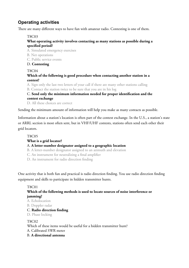## **Operating activities**

There are many different ways to have fun with amateur radio. Contesting is one of them.

## T8C03

## **What operating activity involves contacting as many stations as possible during a specified period?**

A. Simulated emergency exercises

- B. Net operations
- C. Public service events

## D. **Contesting**

## T8C04

## **Which of the following is good procedure when contacting another station in a contest?**

A. Sign only the last two letters of your call if there are many other stations calling

B. Contact the station twice to be sure that you are in his log

## C. **Send only the minimum information needed for proper identification and the contest exchange**

D. All these choices are correct

Sending the minimum amount of information will help you make as many contacts as possible.

Information about a station's location is often part of the contest exchange. In the U.S., a station's state or ARRL section is most often sent, but in VHF/UHF contests, stations often send each other their grid locators.

## T8C05

## **What is a grid locator?**

## A. **A letter-number designator assigned to a geographic location**

- B. A letter-number designator assigned to an azimuth and elevation
- C. An instrument for neutralizing a final amplifier
- D. An instrument for radio direction finding

One activity that is both fun and practical is radio direction finding. You use radio direction finding equipment and skills to participate in hidden transmitter hunts.

## T8C01

## **Which of the following methods is used to locate sources of noise interference or jamming?**

- A. Echolocation
- B. Doppler radar

## C. **Radio direction finding**

D. Phase locking

## T8C02

Which of these items would be useful for a hidden transmitter hunt? A. Calibrated SWR meter B. **A directional antenna**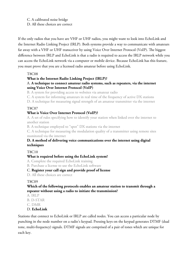C. A calibrated noise bridge

D. All these choices are correct

If the only radios that you have are VHF or UHF radios, you might want to look into EchoLink and the Internet Radio Linking Project (IRLP). Both systems provide a way to communicate with amateurs far away with a VHF or UHF transceiver by using Voice Over Internet Protocol (VoIP). The biggest difference between IRLP and EchoLink is that a radio is required to access the IRLP network while you can access the EchoLink network via a computer or mobile device. Because EchoLink has this feature, you must prove that you are a licensed radio amateur before using EchoLink.

#### T8C08

#### **What is the Internet Radio Linking Project (IRLP)?**

#### A. **A technique to connect amateur radio systems, such as repeaters, via the internet using Voice Over Internet Protocol (VoIP)**

B. A system for providing access to websites via amateur radio

C. A system for informing amateurs in real time of the frequency of active DX stations

D. A technique for measuring signal strength of an amateur transmitter via the internet

#### T8C07

## **What is Voice Over Internet Protocol (VoIP)?**

A. A set of rules specifying how to identify your station when linked over the internet to another station

B. A technique employed to "spot" DX stations via the internet

C. A technique for measuring the modulation quality of a transmitter using remote sites monitored via the internet

#### **D. A method of delivering voice communications over the internet using digital techniques**

#### T8C10

#### **What is required before using the EchoLink system?**

A. Complete the required EchoLink training

B. Purchase a license to use the EchoLink software

#### C. **Register your call sign and provide proof of license**

D. All these choices are correct

#### T8C09

## **Which of the following protocols enables an amateur station to transmit through a repeater without using a radio to initiate the transmission?**

A. IRLP

- B. D-STAR
- C. DMR

#### D. **EchoLink**

Stations that connect to EchoLink or IRLP are called nodes. You can access a particular node by punching in the node number on a radio's keypad. Pressing keys on the keypad generates DTMF (dual tone, multi-frequency) signals. DTMF signals are comprised of a pair of tones which are unique for each key.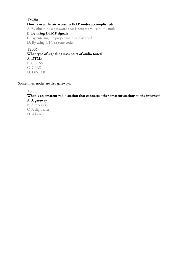## T8C06 **How is over the air access to IRLP nodes accomplished?**

A. By obtaining a password that is sent via voice to the node

B. **By using DTMF signals**

- C. By entering the proper internet password
- D. By using CTCSS tone codes

T2B06 **What type of signaling uses pairs of audio tones?** A. **DTMF** B. CTCSS C. GPRS

D. D-STAR

Sometimes, nodes are also gateways.

#### T8C11

#### **What is an amateur radio station that connects other amateur stations to the internet?** A. **A gateway**

B. A repeater C. A digipeater

D. A beacon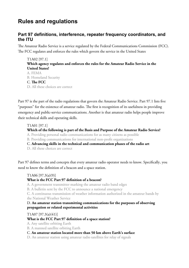# **Rules and regulations**

## **Part 97 definitions, interference, repeater frequency coordinators, and the ITU**

The Amateur Radio Service is a service regulated by the Federal Communications Commission (FCC). The FCC regulates and enforces the rules which govern the service in the United States

T1A02 [97.1] **Which agency regulates and enforces the rules for the Amateur Radio Service in the United States?** A. FEMA B. Homeland Security C. **The FCC** D. All these choices are correct

Part 97 is the part of the radio regulations that govern the Amateur Radio Service. Part 97.1 lists five "purposes" for the existence of amateur radio. The first is recognition of its usefulness in providing emergency and public-service communications. Another is that amateur radio helps people improve their technical skills and operating skills.

## T1A01 [97.1]

#### **Which of the following is part of the Basis and Purpose of the Amateur Radio Service?**

A. Providing personal radio communications for as many citizens as possible

B. Providing communications for international non-profit organizations

C. **Advancing skills in the technical and communication phases of the radio art**

D. All these choices are correct

Part 97 defines terms and concepts that every amateur radio operator needs to know. Specifically, you need to know the definition of a beacon and a space station.

#### T1A06 [97.3(a)(9)]

#### **What is the FCC Part 97 definition of a beacon?**

A. A government transmitter marking the amateur radio band edges

B. A bulletin sent by the FCC to announce a national emergency

C. A continuous transmission of weather information authorized in the amateur bands by the National Weather Service

D. **An amateur station transmitting communications for the purposes of observing propagation or related experimental activities**

#### T1A07 [97.3(a)(41)]

#### **What is the FCC Part 97 definition of a space station?**

A. Any satellite orbiting Earth

B. A manned satellite orbiting Earth

C. **An amateur station located more than 50 km above Earth's surface**

D. An amateur station using amateur radio satellites for relay of signals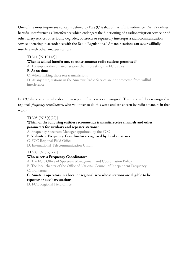One of the most important concepts defined by Part 97 is that of harmful interference. Part 97 defines harmful interference as "interference which endangers the functioning of a radionavigation service or of other safety services or seriously degrades, obstructs or repeatedly interrupts a radiocommunication service operating in accordance with the Radio Regulations." Amateur stations can *never* willfully interfere with other amateur stations.

#### T1A11 [97.101 (d)]

#### **When is willful interference to other amateur radio stations permitted?**

A. To stop another amateur station that is breaking the FCC rules

#### B. **At no time**

C. When making short test transmissions

D. At any time, stations in the Amateur Radio Service are not protected from willful interference

Part 97 also contains rules about how repeater frequencies are assigned. This responsibility is assigned to regional *frequency coordinators*, who volunteer to do this work and are chosen by radio amateurs in that region.

T1A08 [97.3(a)(22)]

# **Which of the following entities recommends transmit/receive channels and other parameters for auxiliary and repeater stations?**

A. Frequency Spectrum Manager appointed by the FCC

## B. **Volunteer Frequency Coordinator recognized by local amateurs**

C. FCC Regional Field Office

D. International Telecommunication Union

# T1A09 [97.3(a)(22)]

#### **Who selects a Frequency Coordinator?**

A. The FCC Office of Spectrum Management and Coordination Policy

B. The local chapter of the Office of National Council of Independent Frequency Coordinators

C. **Amateur operators in a local or regional area whose stations are eligible to be repeater or auxiliary stations**

D. FCC Regional Field Office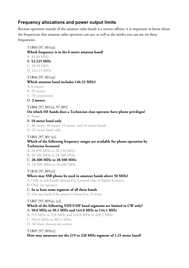# **Frequency allocations and power output limits**

Because operation outside of the amateur radio bands is a serious offense, it is important to know about the frequencies that amateur radio operators can use, as well as the modes you can use on those frequencies.

T1B03 [97.301(a)] **Which frequency is in the 6 meter amateur band?** A. 49.00 MHz B. **52.525 MHz** C. 28.50 MHz D. 222.15 MHz

#### T1B04 [97.301(a)] **Which amateur band includes 146.52 MHz?**

- A. 6 meters
- B. 20 meters
- C. 70 centimeters

#### D. **2 meters**

T1B06 [97.301(e), 97.305]

#### **On which HF bands does a Technician class operator have phone privileges?** A. None

B. **10 meter band only**

C. 80 meter, 40 meter, 15 meter, and 10 meter bands D. 30 meter band only

#### T1B01 [97.301 (e)]

#### **Which of the following frequency ranges are available for phone operation by Technician licensees?**

A. 28.050 MHz to 28.150 MHz B. 28.100 MHz to 28.300 MHz

#### C. **28.300 MHz to 28.500 MHz**

D. 28.500 MHz to 28.600 MHz

#### T1B10 [97.305(c)]

#### **Where may SSB phone be used in amateur bands above 50 MHz?**

A. Only in sub-bands allocated to General class or higher licensees

B. Only on repeaters

## C. **In at least some segment of all these bands**

D. On any band if the power is limited to 25 watts

#### T1B07 [97.305(a), (c)]

# **Which of the following VHF/UHF band segments are limited to CW only?** A. **50.0 MHz to 50.1 MHz and 144.0 MHz to 144.1 MHz**

B. 219 MHz to 220 MHz and 420.0 MHz to 420.1 MHz

C. 902.0 MHz to 902.1 MHz

D. All these choices are correct

# T1B05 [97.305(c)] **How may amateurs use the 219 to 220 MHz segment of 1.25 meter band?**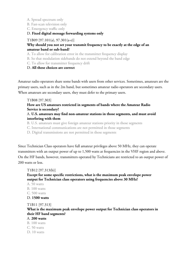- A. Spread spectrum only
- B. Fast-scan television only
- C. Emergency traffic only

#### D. **Fixed digital message forwarding systems only**

#### T1B09 [97.101(a), 97.301(a-e)] **Why should you not set your transmit frequency to be exactly at the edge of an amateur band or sub-band?**

- A. To allow for calibration error in the transmitter frequency display
- B. So that modulation sidebands do not extend beyond the band edge
- C. To allow for transmitter frequency drift

#### D. **All these choices are correct**

Amateur radio operators share some bands with users from other services. Sometimes, amateurs are the primary users, such as in the 2m band, but sometimes amateur radio operators are secondary users. When amateurs are secondary users, they must defer to the primary users.

#### T1B08 [97.303]

#### **How are US amateurs restricted in segments of bands where the Amateur Radio Service is secondary?**

#### A. **U.S. amateurs may find non-amateur stations in those segments, and must avoid interfering with them**

B. U.S. amateurs must give foreign amateur stations priority in those segments

- C. International communications are not permitted in those segments
- D. Digital transmissions are not permitted in those segments

Since Technician Class operators have full amateur privileges above 50 MHz, they can operate transmitters with an output power of up to 1,500 watts at frequencies in the VHF region and above. On the HF bands, however, transmitters operated by Technicians are restricted to an output power of 200 watts or less.

#### T1B12 [97.313(b)]

#### **Except for some specific restrictions, what is the maximum peak envelope power output for Technician class operators using frequencies above 30 MHz?**

- A. 50 watts
- B. 100 watts
- C. 500 watts

#### D. **1500 watts**

#### T1B11 [97.313]

**What is the maximum peak envelope power output for Technician class operators in their HF band segments?**

#### A. **200 watts**

- B. 100 watts
- C. 50 watts
- D. 10 watts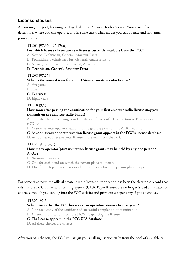# **License classes**

As you might expect, licensing is a big deal in the Amateur Radio Service. Your class of license determines where you can operate, and in some cases, what modes you can operate and how much power you can use.

# T1C01 [97.9(a), 97.17(a)]

# **For which license classes are new licenses currently available from the FCC?**

A. Novice, Technician, General, Amateur Extra

B. Technician, Technician Plus, General, Amateur Extra

C. Novice, Technician Plus, General, Advanced

# D. **Technician, General, Amateur Extra**

# T1C08 [97.25]

# **What is the normal term for an FCC-issued amateur radio license?**

A. Five years

B. Life

C. **Ten years**

D. Eight years

T1C10 [97.5a]

## **How soon after passing the examination for your first amateur radio license may you transmit on the amateur radio bands?**

A. Immediately on receiving your Certificate of Successful Completion of Examination (CSCE)

B. As soon as your operator/station license grant appears on the ARRL website

C. **As soon as your operator/station license grant appears in the FCC's license database** D. As soon as you receive your license in the mail from the FCC

# T1A04 [97.5(b)(1)]

# **How many operator/primary station license grants may be held by any one person?** A. **One**

B. No more than two

C. One for each band on which the person plans to operate

D. One for each permanent station location from which the person plans to operate

For some time now, the official amateur radio license authorization has been the electronic record that exists in the FCC Universal Licensing System (ULS). Paper licenses are no longer issued as a matter of course, although you can log into the FCC website and print out a paper copy if you so choose.

# T1A05 [97.7]

# **What proves that the FCC has issued an operator/primary license grant?**

A. A printed copy of the certificate of successful completion of examination B. An email notification from the NCVEC granting the license

# C. **The license appears in the FCC ULS database**

D. All these choices are correct

After you pass the test, the FCC will assign you a call sign sequentially from the pool of available call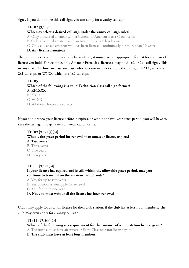signs. If you do not like this call sign, you can apply for a vanity call sign.

# T1C02 [97.19]

#### **Who may select a desired call sign under the vanity call sign rules?**

A. Only a licensed amateur with a General or Amateur Extra Class license

B. Only a licensed amateur with an Amateur Extra Class license

C. Only a licensed amateur who has been licensed continuously for more than 10 years

## D. **Any licensed amateur**

The call sign you select must not only be available, it must have an appropriate format for the class of license you hold. For example, only Amateur Extra class licensees may hold 1x2 or 2x1 call signs. This means that a Technician class amateur radio operator may not choose the call signs KA1X, which is a 2x1 call sign, or W1XX, which is a 1x2 call sign.

T1C05 **Which of the following is a valid Technician class call sign format?** A. **KF1XXX** B. KA1X

C. W1XX D. All these choices are correct

If you don't renew your license before it expires, or within the two-year grace period, you will have to take the test again to get a new amateur radio license.

# T1C09 [97.21(a)(b)] **What is the grace period for renewal if an amateur license expires?** A. **Two years** B. Three years C. Five years D. Ten years

#### T1C11 [97.21(b)]

#### **If your license has expired and is still within the allowable grace period, may you continue to transmit on the amateur radio bands?**

A. Yes, for up to two years

B. Yes, as soon as you apply for renewal

C. Yes, for up to one year

D. **No, you must wait until the license has been renewed**

Clubs may apply for a station license for their club station, if the club has at least four members. The club may even apply for a vanity call sign.

#### T1F11 [97.5(b)(2)]

**Which of the following is a requirement for the issuance of a club station license grant?** A. The trustee must have an Amateur Extra Class operator license grant

B. **The club must have at least four members**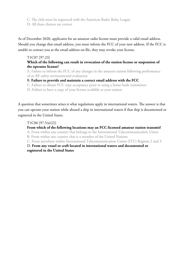C. The club must be registered with the American Radio Relay League

D. All these choices are correct

As of December 2020, applicants for an amateur radio license must provide a valid email address. Should you change that email address, you must inform the FCC of your new address. If the FCC is unable to contact you at the email address on file, they may revoke your license.

#### T1C07 [97.23]

#### **Which of the following can result in revocation of the station license or suspension of the operator license?**

A. Failure to inform the FCC of any changes in the amateur station following performance of an RF safety environmental evaluation

#### B. **Failure to provide and maintain a correct email address with the FCC**

C. Failure to obtain FCC type acceptance prior to using a home-built transmitter

D. Failure to have a copy of your license available at your station

A question that sometimes arises is what regulations apply in international waters. The answer is that you can operate your station while aboard a ship in international waters if that ship is documented or registered in the United States.

# T1C06 [97.5(a)(2)]

# **From which of the following locations may an FCC-licensed amateur station transmit?**

A. From within any country that belongs to the International Telecommunication Union

B. From within any country that is a member of the United Nations

C. From anywhere within International Telecommunication Union (ITU) Regions 2 and 3

D. **From any vessel or craft located in international waters and documented or registered in the United States**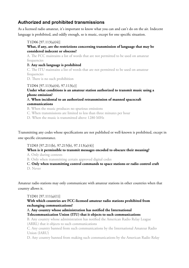# **Authorized and prohibited transmissions**

As a licensed radio amateur, it's important to know what you can and can't do on the air. Indecent language is prohibited, and oddly enough, so is music, except for one specific situation.

# T1D06 [97.113(a)(4)] **What, if any, are the restrictions concerning transmission of language that may be considered indecent or obscene?**

A. The FCC maintains a list of words that are not permitted to be used on amateur frequencies

# B. **Any such language is prohibited**

C. The ITU maintains a list of words that are not permitted to be used on amateur frequencies

D. There is no such prohibition

# T1D04 [97.113(a)(4), 97.113(c)]

# **Under what conditions is an amateur station authorized to transmit music using a phone emission?**

# A. **When incidental to an authorized retransmission of manned spacecraft communications**

B. When the music produces no spurious emissions

C. When transmissions are limited to less than three minutes per hour

D. When the music is transmitted above 1280 MHz

Transmitting any codes whose specifications are not published or well-known is prohibited, except in one specific circumstance.

# T1D03 [97.211(b), 97.215(b), 97.113(a)(4)]

# **When is it permissible to transmit messages encoded to obscure their meaning?**

A. Only during contests

B. Only when transmitting certain approved digital codes

# C. **Only when transmitting control commands to space stations or radio control craft**

D. Never

Amateur radio stations may only communicate with amateur stations in other countries when that country allows it.

# T1D01 [97.111(a)(1)]

# **With which countries are FCC-licensed amateur radio stations prohibited from exchanging communications?**

# A. **Any country whose administration has notified the International Telecommunication Union (ITU) that it objects to such communications**

B. Any country whose administration has notified the American Radio Relay League (ARRL) that it objects to such communications

C. Any country banned from such communications by the International Amateur Radio Union (IARU)

D. Any country banned from making such communications by the American Radio Relay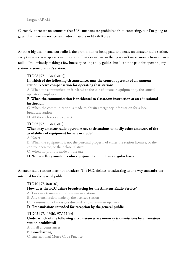League (ARRL)

Currently, there are no countries that U.S. amateurs are prohibited from contacting, but I'm going to guess that there are no licensed radio amateurs in North Korea.

Another big deal in amateur radio is the prohibition of being paid to operate an amateur radio station, except in some very special circumstances. That doesn't mean that you can't make money from amateur radio. I'm obviously making a few bucks by selling study guides, but I can't be paid for operating my station or someone else's station.

#### T1D08 [97.113(a)(3)(iii)]

#### **In which of the following circumstances may the control operator of an amateur station receive compensation for operating that station?**

A. When the communication is related to the sale of amateur equipment by the control operator's employer

#### B. **When the communication is incidental to classroom instruction at an educational institution**

C. When the communication is made to obtain emergency information for a local broadcast station D. All these choices are correct

#### T1D05 [97.113(a)(3)(ii)]

#### **When may amateur radio operators use their stations to notify other amateurs of the availability of equipment for sale or trade?**

A. Never

B. When the equipment is not the personal property of either the station licensee, or the control operator, or their close relatives

C. When no profit is made on the sale

#### D. **When selling amateur radio equipment and not on a regular basis**

Amateur radio stations may not broadcast. The FCC defines broadcasting as one-way transmissions intended for the general public.

#### T1D10 [97.3(a)(10)]

#### **How does the FCC define broadcasting for the Amateur Radio Service?**

A. Two-way transmissions by amateur stations

B. Any transmission made by the licensed station

C. Transmission of messages directed only to amateur operators

D. **Transmissions intended for reception by the general public**

T1D02 [97.113(b), 97.111(b)]

# **Under which of the following circumstances are one-way transmissions by an amateur station prohibited?**

A. In all circumstances

#### B. **Broadcasting**

C. International Morse Code Practice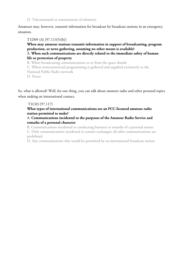D. Telecommand or transmissions of telemetry

Amateurs may, however, transmit information for broadcast by broadcast stations in an emergency situation.

# T1D09 (A) [97.113(5)(b)]

**When may amateur stations transmit information in support of broadcasting, program production, or news gathering, assuming no other means is available?**

A. **When such communications are directly related to the immediate safety of human life or protection of property**

B. When broadcasting communications to or from the space shuttle

C. Where noncommercial programming is gathered and supplied exclusively to the

National Public Radio network

D. Never

So, what is allowed? Well, for one thing, you can talk about amateur radio and other personal topics when making an international contact.

# T1C03 [97.117]

# **What types of international communications are an FCC-licensed amateur radio station permitted to make?**

## A. **Communications incidental to the purposes of the Amateur Radio Service and remarks of a personal character**

B. Communications incidental to conducting business or remarks of a personal nature C. Only communications incidental to contest exchanges; all other communications are prohibited

D. Any communications that would be permitted by an international broadcast station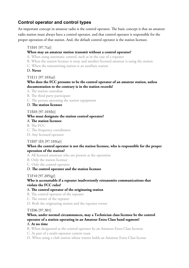# **Control operator and control types**

An important concept in amateur radio is the control operator. The basic concept is that an amateur radio station must always have a control operator, and that control operator is responsible for the proper operation of that station. And, the default control operator is the station licensee.

# T1E01 [97.7(a)]

#### **When may an amateur station transmit without a control operator?**

A. When using automatic control, such as in the case of a repeater

- B. When the station licensee is away and another licensed amateur is using the station
- C. When the transmitting station is an auxiliary station

#### D. **Never**

#### T1E11 [97.103(a)]

# **Who does the FCC presume to be the control operator of an amateur station, unless documentation to the contrary is in the station records?**

A. The station custodian

- B. The third party participant
- C. The person operating the station equipment

# D. **The station licensee**

#### T1E03 [97.103(b)]

#### **Who must designate the station control operator?**

A. **The station licensee**

B. The FCC

C. The frequency coordinator

D. Any licensed operator

#### T1E07 (D) [97.103(a)]

# **When the control operator is not the station licensee, who is responsible for the proper operation of the station?**

A. All licensed amateurs who are present at the operation

B. Only the station licensee

C. Only the control operator

#### D. **The control operator and the station licensee**

#### T1F10 [97.205(g)]

#### **Who is accountable if a repeater inadvertently retransmits communications that violate the FCC rules?**

#### A. **The control operator of the originating station**

B. The control operator of the repeater

- C. The owner of the repeater
- D. Both the originating station and the repeater owner

#### T1E06 [97.301]

# **When, under normal circumstances, may a Technician class licensee be the control operator of a station operating in an Amateur Extra Class band segment?**

#### A. **At no time**

- B. When designated as the control operator by an Amateur Extra Class licensee
- C. As part of a multi-operator contest team
- D. When using a club station whose trustee holds an Amateur Extra Class license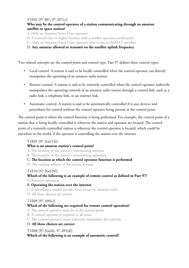## T1E02 [97.301, 97.207(c)]

# **Who may be the control operator of a station communicating through an amateur satellite or space station?**

A. Only an Amateur Extra Class operator

B. A General class or higher licensee with a satellite operator certification

C. Only an Amateur Extra Class operator who is also an AMSAT member

# D. **Any amateur allowed to transmit on the satellite uplink frequency**

Two related concepts are the control point and control type. Part 97 defines three control types:

- Local control. A station is said to be locally controlled when the control operator can directly manipulate the operating of an amateur radio station.
- Remote control. A station is said to be remotely controlled when the control operator indirectly manipulates the operating controls of an amateur radio station through a control link, such as a radio link, a telephone link, or an internet link.
- Automatic control. A station is said to be automatically controlled if it uses devices and procedures for control without the control operator being present at the control point.

The control point is where the control function is being performed. For example, the control point of a station that is being locally controlled is wherever the station and operator are located. The control point of a remotely-controlled station is wherever the control operator is located, which could be anywhere in the world, if the operator is controlling the station over the internet.

#### T1E05 [97.3(a)(14)]

# **What is an amateur station's control point?**

A. The location of the station's transmitting antenna

B. The location of the station's transmitting apparatus

#### C. **The location at which the control operator function is performed**

D. The mailing address of the station licensee

#### T1E10 [97.3(a)(39)]

# **Which of the following is an example of remote control as defined in Part 97?**

A. Repeater operation

# B. **Operating the station over the internet**

C. Controlling a model aircraft, boat, or car by amateur radio

D. All these choices are correct

# T1E09 [97.109(c)]

# **Which of the following are required for remote control operation?**

A. The control operator must be at the control point

B. A control operator is required at all times

C. The control operator must indirectly manipulate the controls

# D. **All these choices are correct**

T1E08 [97.3(a)(6), 97.205(d)] **Which of the following is an example of automatic control?**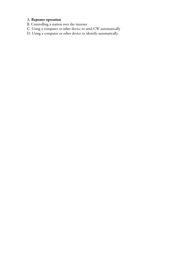# A. **Repeater operation**

- B. Controlling a station over the internet
- C. Using a computer or other device to send CW automatically
- D. Using a computer or other device to identify automatically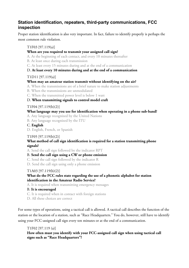# **Station identification, repeaters, third-party communications, FCC inspection**

Proper station identification is also very important. In fact, failure to identify properly is perhaps the most common rule violation.

# T1F03 [97.119(a)]

# **When are you required to transmit your assigned call sign?**

A. At the beginning of each contact, and every 10 minutes thereafter

B. At least once during each transmission

C. At least every 15 minutes during and at the end of a communication

# D. **At least every 10 minutes during and at the end of a communication**

# T1D11 [97.119(a)]

# **When may an amateur station transmit without identifying on the air?**

A. When the transmissions are of a brief nature to make station adjustments

B. When the transmissions are unmodulated

C. When the transmitted power level is below 1 watt

# D. **When transmitting signals to control model craft**

# T1F04 [97.119(b)(2)]

# **What language may you use for identification when operating in a phone sub-band?**

A. Any language recognized by the United Nations

B. Any language recognized by the ITU

# C. **English**

D. English, French, or Spanish

# T1F05 [97.119(b)(2)]

#### **What method of call sign identification is required for a station transmitting phone signals?**

A. Send the call sign followed by the indicator RPT

#### B. **Send the call sign using a CW or phone emission**

C. Send the call sign followed by the indicator R

D. Send the call sign using only a phone emission

# T1A03 [97.119(b)(2)]

# **What do the FCC rules state regarding the use of a phonetic alphabet for station identification in the Amateur Radio Service?**

A. It is required when transmitting emergency messages

# B. **It is encouraged**

C. It is required when in contact with foreign stations

D. All these choices are correct

For some types of operations, using a tactical call is allowed. A tactical call describes the function of the station or the location of a station, such as "Race Headquarters." You do, however, still have to identify using your FCC-assigned call sign every ten minutes or at the end of a communication.

# T1F02 [97.119 (a)]

**How often must you identify with your FCC-assigned call sign when using tactical call signs such as "Race Headquarters"?**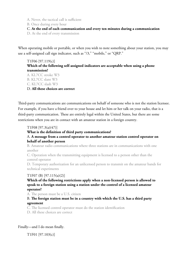A. Never, the tactical call is sufficient

B. Once during every hour

#### C. **At the end of each communication and every ten minutes during a communication**

D. At the end of every transmission

When operating mobile or portable, or when you wish to note something about your station, you may use a self-assigned call sign indicator, such as "/3," "mobile," or "QRP."

#### T1F06 [97.119(c)] **Which of the following self-assigned indicators are acceptable when using a phone transmission?**

A. KL7CC stroke W3 B. KL7CC slant W3 C. KL7CC slash W3

D. **All these choices are correct**

Third-party communications are communications on behalf of someone who is not the station licensee. For example, if you have a friend over to your house and let him or her talk on your radio, that is a third-party communication. These are entirely legal within the United States, but there are some restrictions when you are in contact with an amateur station in a foreign country.

#### T1F08 [97.3(a)(47)]

#### **What is the definition of third party communications?**

# A. **A message from a control operator to another amateur station control operator on behalf of another person**

B. Amateur radio communications where three stations are in communications with one another

C. Operation when the transmitting equipment is licensed to a person other than the control operator

D. Temporary authorization for an unlicensed person to transmit on the amateur bands for technical experiments

# T1F07 (B) [97.115(a)(2)]

# **Which of the following restrictions apply when a non-licensed person is allowed to speak to a foreign station using a station under the control of a licensed amateur operator?**

A. The person must be a U.S. citizen

# B. **The foreign station must be in a country with which the U.S. has a third party agreement**

C. The licensed control operator must do the station identification

D. All these choices are correct

Finally—and I do mean finally.

T1F01 [97.103(c)]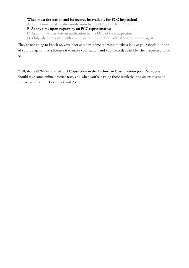#### **When must the station and its records be available for FCC inspection?**

A. At any time ten days after notification by the FCC of such an inspection

#### B. **At any time upon request by an FCC representative**

C. At any time after written notification by the FCC of such inspection

D. Only when presented with a valid warrant by an FCC official or government agent

They're not going to knock on your door at 3 a.m. some morning to take a look at your shack, but one of your obligations as a licensee is to make your station and your records available when requested to do so.

Well, that's it! We've covered all 413 questions in the Technician Class question pool. Now, you should take some online practice tests, and when you're passing those regularly, find an exam session and get your license. Good luck and 73!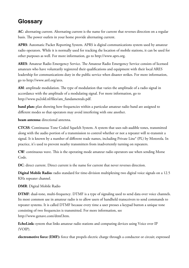# **Glossary**

**AC**: alternating current. Alternating current is the name for current that reverses direction on a regular basis. The power outlets in your home provide alternating current.

**APRS**: Automatic Packet Reporting System. APRS is digital communications system used by amateur radio operators. While it is normally used for tracking the location of mobile stations, it can be used for other purposes as well. For more information, go to http://www.aprs.org.

**ARES**: Amateur Radio Emergency Service. The Amateur Radio Emergency Service consists of licensed amateurs who have voluntarily registered their qualifications and equipment with their local ARES leadership for communications duty in the public service when disaster strikes. For more information, go to http://www.arrl.org/ares.

**AM**: amplitude modulation. The type of modulation that varies the amplitude of a radio signal in accordance with the amplitude of a modulating signal. For more information, go to http://www.pa2old.nl/files/am\_fundamentals.pdf.

**band plan:** plan showing how frequencies within a particular amateur radio band are assigned to different modes so that operators may avoid interfering with one another.

**beam antenna:** directional antenna.

**CTCSS**: Continuous Tone Coded Squelch System. A system that uses sub-audible tones, transmitted along with the audio portion of a transmission to control whether or not a repeater will re-transmit a signal. It is known by a number of different trade names, including Private Line® (PL) by Motorola. In practice, it's used to prevent nearby transmitters from inadvertently turning on repeaters.

**CW**: continuous wave. This is the operating mode amateur radio operators use when sending Morse Code.

**DC**: direct current. Direct current is the name for current that never reverses direction.

**Digital Mobile Radio:** radio standard for time-division multiplexing two digital voice signals on a 12.5 KHz repeater channel.

# **DMR**: Digital Mobile Radio

**DTMF**: dual-tone, multi-frequency. DTMF is a type of signaling used to send data over voice channels. Its most common use in amateur radio is to allow users of handheld transceivers to send commands to repeater systems. It is called DTMF because every time a user presses a keypad button a unique tone consisting of two frequencies is transmitted. For more information, see http://www.genave.com/dtmf.htm.

**EchoLink:** system that links amateur radio stations and computing devices using Voice over IP (VOIP).

**electromotive force (EMF):** force that propels electric charge through a conductor or circuit; expressed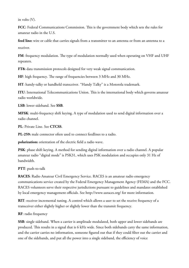in volts (V).

**FCC**: Federal Communications Commission. This is the government body which sets the rules for amateur radio in the U.S.

**feed line:** wire or cable that carries signals from a transmitter to an antenna or from an antenna to a receiver.

**FM**: frequency modulation. The type of modulation normally used when operating on VHF and UHF repeaters.

**FT8:** data transmission protocols designed for very weak signal communication.

**HF**: high frequency. The range of frequencies between 3 MHz and 30 MHz.

**HT**: handy-talky or handheld transceiver. "Handy Talky" is a Motorola trademark.

**ITU**: International Telecommunications Union. This is the international body which governs amateur radio worldwide.

**LSB**: lower sideband. See **SSB**.

**MFSK**: multi-frequency shift keying. A type of modulation used to send digital information over a radio channel.

**PL**: Private Line. See **CTCSS**.

**PL-259:** male connector often used to connect feedlines to a radio.

**polarization:** orientation of the electric field a radio wave.

**PSK**: phase shift keying. A method for sending digital information over a radio channel. A popular amateur radio "digital mode" is PSK31, which uses PSK modulation and occupies only 31 Hz of bandwidth.

**PTT**: push-to-talk

**RACES**: Radio Amateur Civil Emergency Service. RACES is an amateur radio emergency communications service created by the Federal Emergency Management Agency (FEMA) and the FCC. RACES volunteers serve their respective jurisdictions pursuant to guidelines and mandates established by local emergency management officials. See http://www.usraces.org/ for more information.

**RIT**: receiver incremental tuning. A control which allows a user to set the receive frequency of a transceiver either slightly higher or slightly lower than the transmit frequency.

**RF**: radio frequency

**SSB**: single sideband. When a carrier is amplitude modulated, both upper and lower sidebands are produced. This results in a signal that is 6 kHz wide. Since both sidebands carry the same information, and the carrier carries no information, someone figured out that if they could filter out the carrier and one of the sidebands, and put all the power into a single sideband, the efficiency of voice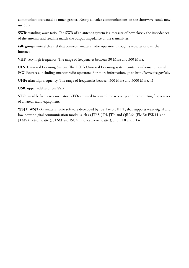communications would be much greater. Nearly all voice communications on the shortwave bands now use SSB.

**SWR**: standing-wave ratio. The SWR of an antenna system is a measure of how closely the impedances of the antenna and feedline match the output impedance of the transmitter.

**talk group:** virtual channel that connects amateur radio operators through a repeater or over the internet.

**VHF**: very high frequency. The range of frequencies between 30 MHz and 300 MHz.

**ULS**: Universal Licensing System. The FCC's Universal Licensing system contains information on all FCC licensees, including amateur radio operators. For more information, go to http://www.fcc.gov/uls.

**UHF**: ultra high frequency. The range of frequencies between 300 MHz and 3000 MHz. 41

**USB**: upper sideband. See **SSB**.

**VFO**: variable frequency oscillator. VFOs are used to control the receiving and transmitting frequencies of amateur radio equipment.

**WSJT, WSJT-X:** amateur radio software developed by Joe Taylor, K1JT, that supports weak-signal and low-power digital communication modes, such as JT65, JT4, JT9, and QRA64 (EME); FSK441and JTMS (meteor scatter); JT6M and ISCAT (ionospheric scatter), and FT8 and FT4.